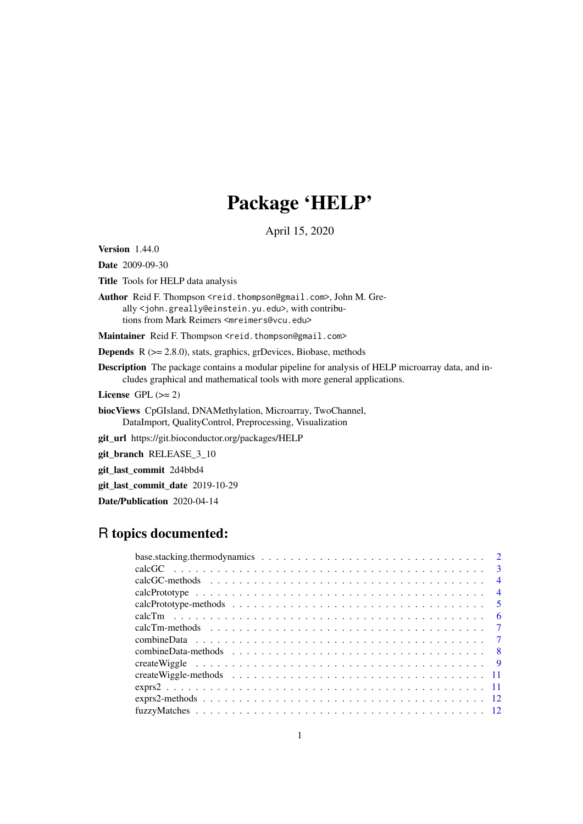# Package 'HELP'

April 15, 2020

<span id="page-0-0"></span>Version 1.44.0

Date 2009-09-30

Title Tools for HELP data analysis

Author Reid F. Thompson <reid.thompson@gmail.com>, John M. Greally <john.greally@einstein.yu.edu>, with contributions from Mark Reimers <mreimers@vcu.edu>

Maintainer Reid F. Thompson <reid.thompson@gmail.com>

Depends R (>= 2.8.0), stats, graphics, grDevices, Biobase, methods

Description The package contains a modular pipeline for analysis of HELP microarray data, and includes graphical and mathematical tools with more general applications.

License GPL  $(>= 2)$ 

biocViews CpGIsland, DNAMethylation, Microarray, TwoChannel, DataImport, QualityControl, Preprocessing, Visualization

git\_url https://git.bioconductor.org/packages/HELP

git\_branch RELEASE\_3\_10

git\_last\_commit 2d4bbd4

git\_last\_commit\_date 2019-10-29

Date/Publication 2020-04-14

# R topics documented:

| $\overline{4}$ |
|----------------|
| $\overline{4}$ |
|                |
| - 6            |
|                |
|                |
|                |
|                |
|                |
|                |
|                |
|                |
|                |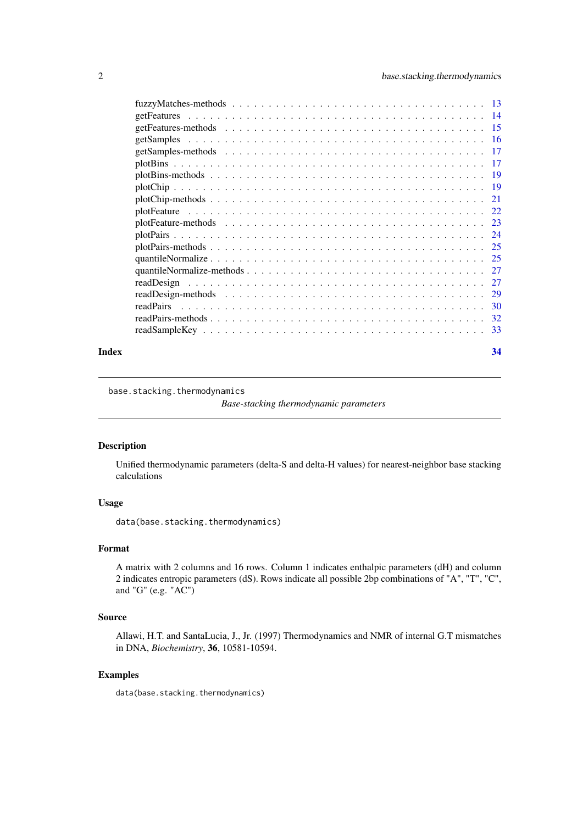<span id="page-1-0"></span>

| 30 |
|----|
| 32 |
|    |
|    |

#### **Index** [34](#page-33-0)

<span id="page-1-1"></span>base.stacking.thermodynamics

*Base-stacking thermodynamic parameters*

# Description

Unified thermodynamic parameters (delta-S and delta-H values) for nearest-neighbor base stacking calculations

# Usage

data(base.stacking.thermodynamics)

### Format

A matrix with 2 columns and 16 rows. Column 1 indicates enthalpic parameters (dH) and column 2 indicates entropic parameters (dS). Rows indicate all possible 2bp combinations of "A", "T", "C", and "G" (e.g. "AC")

### Source

Allawi, H.T. and SantaLucia, J., Jr. (1997) Thermodynamics and NMR of internal G.T mismatches in DNA, *Biochemistry*, 36, 10581-10594.

#### Examples

data(base.stacking.thermodynamics)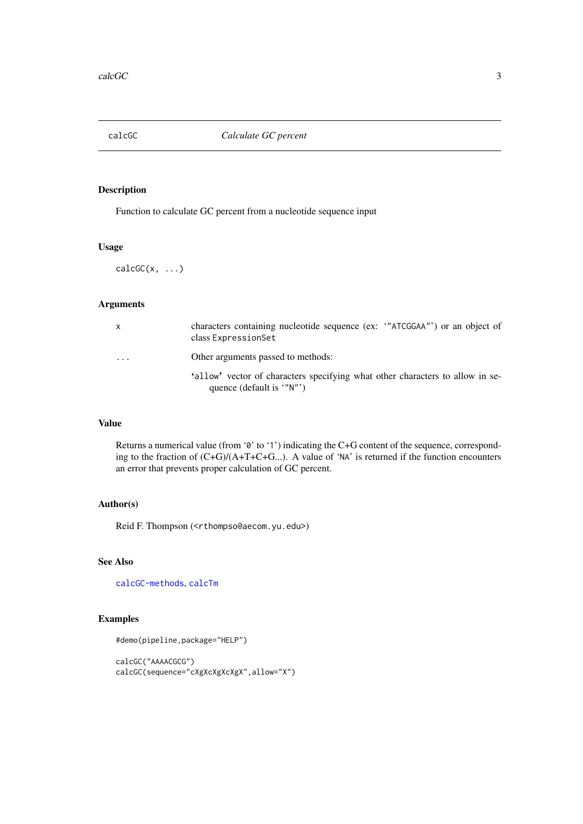<span id="page-2-1"></span><span id="page-2-0"></span>

# Description

Function to calculate GC percent from a nucleotide sequence input

#### Usage

 $calcGC(x, \ldots)$ 

# Arguments

| $\mathsf{x}$ | characters containing nucleotide sequence (ex: "ATCGGAA") or an object of<br>class ExpressionSet           |
|--------------|------------------------------------------------------------------------------------------------------------|
| $\cdots$     | Other arguments passed to methods:                                                                         |
|              | 'allow' vector of characters specifying what other characters to allow in se-<br>quence (default is '"N"') |

# Value

Returns a numerical value (from '0' to '1') indicating the C+G content of the sequence, corresponding to the fraction of (C+G)/(A+T+C+G...). A value of 'NA' is returned if the function encounters an error that prevents proper calculation of GC percent.

### Author(s)

Reid F. Thompson (<rthompso@aecom.yu.edu>)

# See Also

[calcGC-methods](#page-3-1), [calcTm](#page-5-1)

# Examples

```
#demo(pipeline,package="HELP")
```

```
calcGC("AAAACGCG")
calcGC(sequence="cXgXcXgXcXgX",allow="X")
```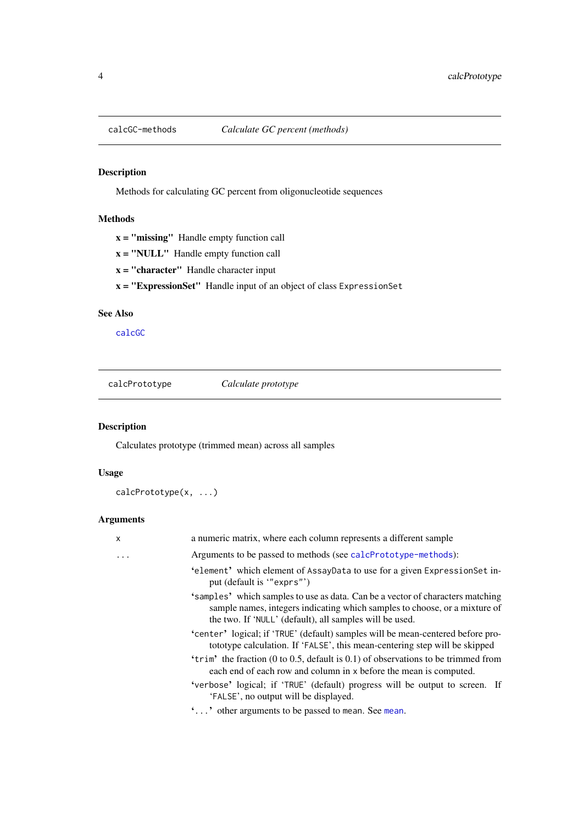# Description

Methods for calculating GC percent from oligonucleotide sequences

# Methods

- $x =$  "missing" Handle empty function call
- $x = "NULL"$  Handle empty function call
- $x = "character"$  Handle character input
- x = "ExpressionSet" Handle input of an object of class ExpressionSet

# See Also

[calcGC](#page-2-1)

<span id="page-3-2"></span>calcPrototype *Calculate prototype*

# Description

Calculates prototype (trimmed mean) across all samples

# Usage

```
calcPrototype(x, ...)
```
# Arguments

| X | a numeric matrix, where each column represents a different sample                                                                                                                                                       |
|---|-------------------------------------------------------------------------------------------------------------------------------------------------------------------------------------------------------------------------|
| . | Arguments to be passed to methods (see calcPrototype-methods):                                                                                                                                                          |
|   | 'element' which element of AssayData to use for a given ExpressionSet in-<br>put (default is "exprs")                                                                                                                   |
|   | 'samples' which samples to use as data. Can be a vector of characters matching<br>sample names, integers indicating which samples to choose, or a mixture of<br>the two. If 'NULL' (default), all samples will be used. |
|   | 'center' logical; if 'TRUE' (default) samples will be mean-centered before pro-<br>tototype calculation. If 'FALSE', this mean-centering step will be skipped                                                           |
|   | 'trim' the fraction $(0 \text{ to } 0.5, \text{ default is } 0.1)$ of observations to be trimmed from<br>each end of each row and column in x before the mean is computed.                                              |
|   | 'verbose' logical; if 'TRUE' (default) progress will be output to screen. If<br>'FALSE', no output will be displayed.                                                                                                   |
|   | '' other arguments to be passed to mean. See mean.                                                                                                                                                                      |
|   |                                                                                                                                                                                                                         |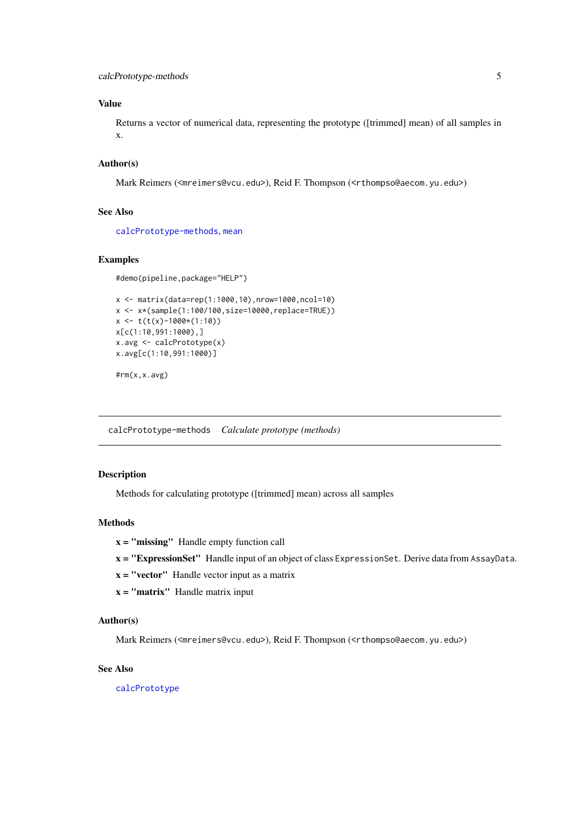# <span id="page-4-0"></span>Value

Returns a vector of numerical data, representing the prototype ([trimmed] mean) of all samples in x.

# Author(s)

Mark Reimers (<mreimers@vcu.edu>), Reid F. Thompson (<rthompso@aecom.yu.edu>)

# See Also

[calcPrototype-methods](#page-4-1), [mean](#page-0-0)

#### Examples

```
#demo(pipeline,package="HELP")
```

```
x <- matrix(data=rep(1:1000,10),nrow=1000,ncol=10)
x <- x*(sample(1:100/100,size=10000,replace=TRUE))
x \le -t(t(x)-1000*(1:10))x[c(1:10,991:1000),]
x.avg <- calcPrototype(x)
x.avg[c(1:10,991:1000)]
#rm(x,x.avg)
```
<span id="page-4-1"></span>calcPrototype-methods *Calculate prototype (methods)*

#### Description

Methods for calculating prototype ([trimmed] mean) across all samples

### Methods

- x = "missing" Handle empty function call
- x = "ExpressionSet" Handle input of an object of class ExpressionSet. Derive data from AssayData.
- $x = "vector"$  Handle vector input as a matrix
- $x = "matrix"$  Handle matrix input

#### Author(s)

Mark Reimers (<mreimers@vcu.edu>), Reid F. Thompson (<rthompso@aecom.yu.edu>)

# See Also

[calcPrototype](#page-3-2)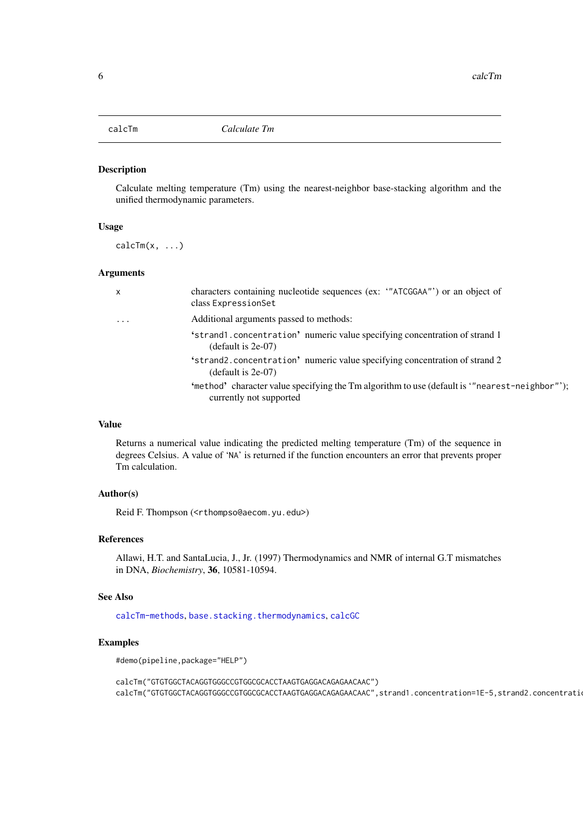<span id="page-5-1"></span><span id="page-5-0"></span>

### Description

Calculate melting temperature (Tm) using the nearest-neighbor base-stacking algorithm and the unified thermodynamic parameters.

#### Usage

 $calC(Tm(x, \ldots))$ 

# Arguments

| X         | characters containing nucleotide sequences (ex: "ATCGGAA"') or an object of<br>class ExpressionSet                      |
|-----------|-------------------------------------------------------------------------------------------------------------------------|
| $\ddotsc$ | Additional arguments passed to methods:                                                                                 |
|           | 'strand1.concentration' numeric value specifying concentration of strand 1<br>$(default is 2e-07)$                      |
|           | 'strand2.concentration' numeric value specifying concentration of strand 2<br>$(default is 2e-07)$                      |
|           | "method" character value specifying the Tm algorithm to use (default is "nearest-neighbor"):<br>currently not supported |

# Value

Returns a numerical value indicating the predicted melting temperature (Tm) of the sequence in degrees Celsius. A value of 'NA' is returned if the function encounters an error that prevents proper Tm calculation.

#### Author(s)

Reid F. Thompson (<rthompso@aecom.yu.edu>)

### References

Allawi, H.T. and SantaLucia, J., Jr. (1997) Thermodynamics and NMR of internal G.T mismatches in DNA, *Biochemistry*, 36, 10581-10594.

# See Also

[calcTm-methods](#page-6-1), [base.stacking.thermodynamics](#page-1-1), [calcGC](#page-2-1)

### Examples

```
#demo(pipeline,package="HELP")
```
calcTm("GTGTGGCTACAGGTGGGCCGTGGCGCACCTAAGTGAGGACAGAGAACAAC") calcTm("GTGTGGCTACAGGTGGGCCGTGGCGCACCTAAGTGAGGACAGAGAACAAC",strand1.concentration=1E-5,strand2.concentrati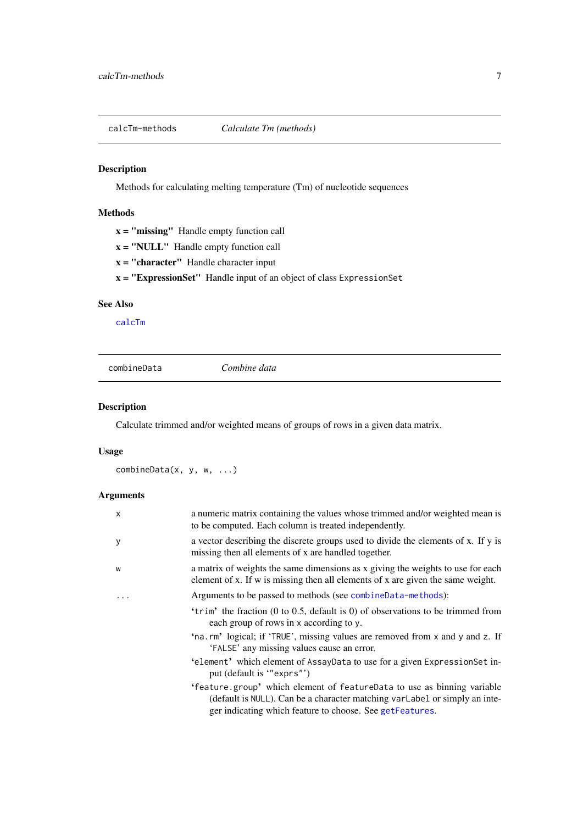<span id="page-6-1"></span><span id="page-6-0"></span>calcTm-methods *Calculate Tm (methods)*

# Description

Methods for calculating melting temperature (Tm) of nucleotide sequences

# Methods

|  | <b>x</b> = " <b>missing</b> " Handle empty function call |  |  |  |  |
|--|----------------------------------------------------------|--|--|--|--|
|--|----------------------------------------------------------|--|--|--|--|

- $x = "NULL"$  Handle empty function call
- $x =$  "character" Handle character input

x = "ExpressionSet" Handle input of an object of class ExpressionSet

### See Also

[calcTm](#page-5-1)

<span id="page-6-2"></span>

|--|

# Description

Calculate trimmed and/or weighted means of groups of rows in a given data matrix.

# Usage

```
combineData(x, y, w, ...)
```
# Arguments

| $\mathsf{x}$ | a numeric matrix containing the values whose trimmed and/or weighted mean is<br>to be computed. Each column is treated independently.                                                                             |
|--------------|-------------------------------------------------------------------------------------------------------------------------------------------------------------------------------------------------------------------|
| y            | a vector describing the discrete groups used to divide the elements of x. If y is<br>missing then all elements of x are handled together.                                                                         |
| W            | a matrix of weights the same dimensions as x giving the weights to use for each<br>element of x. If w is missing then all elements of x are given the same weight.                                                |
|              | Arguments to be passed to methods (see combineData-methods):                                                                                                                                                      |
|              | 'trim' the fraction (0 to 0.5, default is 0) of observations to be trimmed from<br>each group of rows in x according to y.                                                                                        |
|              | 'na.rm' logical; if 'TRUE', missing values are removed from x and y and z. If<br>'FALSE' any missing values cause an error.                                                                                       |
|              | 'element' which element of AssayData to use for a given ExpressionSet in-<br>put (default is "exprs")                                                                                                             |
|              | 'feature group' which element of featureData to use as binning variable<br>(default is NULL). Can be a character matching varLabel or simply an inte-<br>ger indicating which feature to choose. See getFeatures. |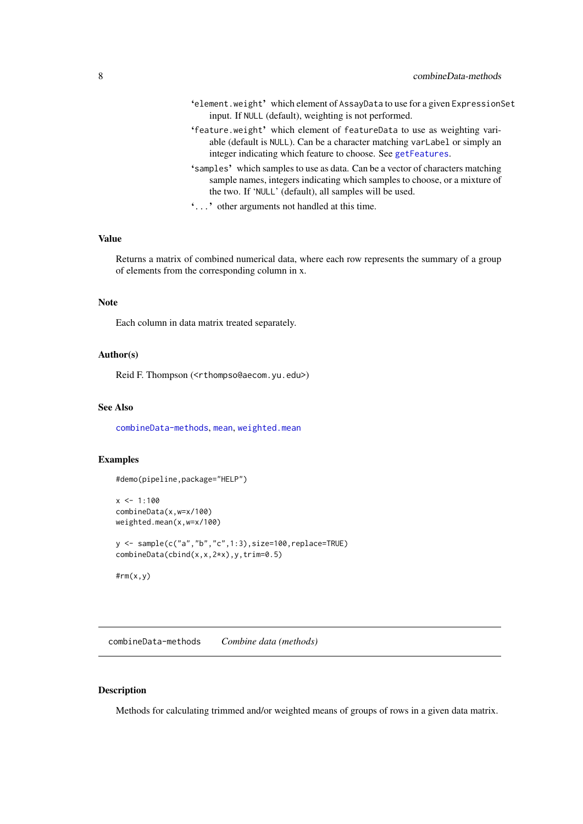- <span id="page-7-0"></span>'element.weight' which element of AssayData to use for a given ExpressionSet input. If NULL (default), weighting is not performed.
- 'feature.weight' which element of featureData to use as weighting variable (default is NULL). Can be a character matching varLabel or simply an integer indicating which feature to choose. See [getFeatures](#page-13-1).
- 'samples' which samples to use as data. Can be a vector of characters matching sample names, integers indicating which samples to choose, or a mixture of the two. If 'NULL' (default), all samples will be used.
- '...' other arguments not handled at this time.

#### Value

Returns a matrix of combined numerical data, where each row represents the summary of a group of elements from the corresponding column in x.

### Note

Each column in data matrix treated separately.

#### Author(s)

Reid F. Thompson (<rthompso@aecom.yu.edu>)

### See Also

[combineData-methods](#page-7-1), [mean](#page-0-0), [weighted.mean](#page-0-0)

#### Examples

#demo(pipeline,package="HELP")

```
x < -1:100combineData(x,w=x/100)
weighted.mean(x,w=x/100)
```

```
y <- sample(c("a","b","c",1:3),size=100,replace=TRUE)
combineData(cbind(x,x,2*x),y,trim=0.5)
```
#rm(x,y)

<span id="page-7-1"></span>combineData-methods *Combine data (methods)*

# Description

Methods for calculating trimmed and/or weighted means of groups of rows in a given data matrix.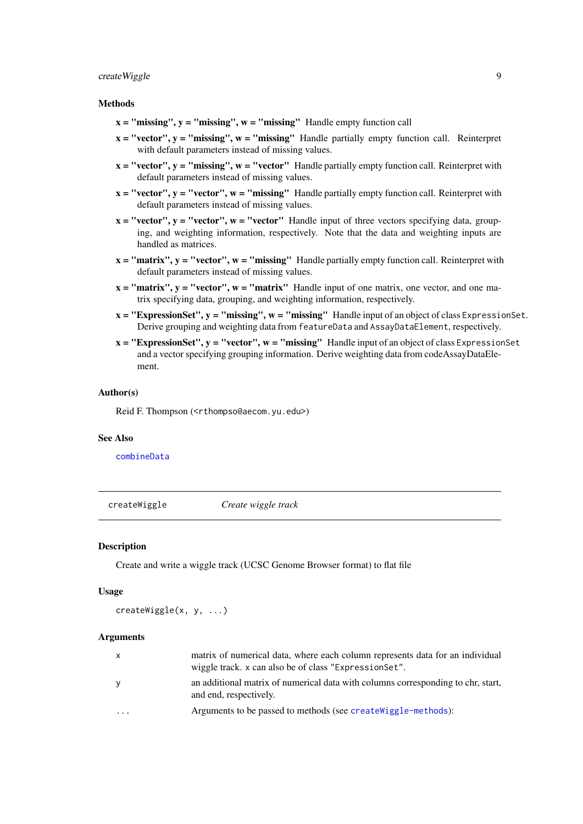#### <span id="page-8-0"></span>createWiggle 9

#### **Methods**

- $x =$  "missing",  $y =$  "missing",  $w =$  "missing" Handle empty function call
- $x = "vector", y = "missing", w = "missing"$  Handle partially empty function call. Reinterpret with default parameters instead of missing values.
- $x = "vector", y = "missing", w = "vector"$  Handle partially empty function call. Reinterpret with default parameters instead of missing values.
- $x = "vector", y = "vector", w = "missing"$  Handle partially empty function call. Reinterpret with default parameters instead of missing values.
- $x = "vector", y = "vector", w = "vector"$  Handle input of three vectors specifying data, grouping, and weighting information, respectively. Note that the data and weighting inputs are handled as matrices.
- $x = "matrix", y = "vector", w = "missing"$  Handle partially empty function call. Reinterpret with default parameters instead of missing values.
- $x = "matrix", y = "vector", w = "matrix"$  Handle input of one matrix, one vector, and one matrix specifying data, grouping, and weighting information, respectively.
- $x = "ExpressionSet", y = "missing", w = "missing"$  Handle input of an object of class ExpressionSet. Derive grouping and weighting data from featureData and AssayDataElement, respectively.
- $x = "ExpressionSet", y = "vector", w = "missing"$  Handle input of an object of class ExpressionSet and a vector specifying grouping information. Derive weighting data from codeAssayDataElement.

#### Author(s)

Reid F. Thompson (<rthompso@aecom.yu.edu>)

### See Also

[combineData](#page-6-2)

<span id="page-8-1"></span>createWiggle *Create wiggle track*

#### Description

Create and write a wiggle track (UCSC Genome Browser format) to flat file

#### Usage

createWiggle(x, y, ...)

#### Arguments

| X        | matrix of numerical data, where each column represents data for an individual<br>wiggle track. x can also be of class "Expression Set". |
|----------|-----------------------------------------------------------------------------------------------------------------------------------------|
| y        | an additional matrix of numerical data with columns corresponding to chr, start,<br>and end, respectively.                              |
| $\cdots$ | Arguments to be passed to methods (see create Niggle-methods):                                                                          |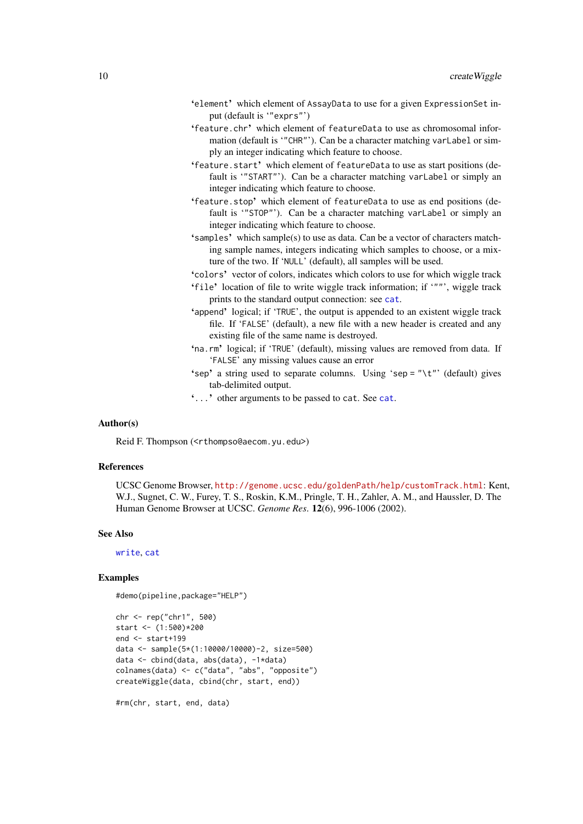- <span id="page-9-0"></span>'element' which element of AssayData to use for a given ExpressionSet input (default is '"exprs"')
- 'feature.chr' which element of featureData to use as chromosomal information (default is '"CHR"'). Can be a character matching varLabel or simply an integer indicating which feature to choose.
- 'feature.start' which element of featureData to use as start positions (default is '"START"'). Can be a character matching varLabel or simply an integer indicating which feature to choose.
- 'feature.stop' which element of featureData to use as end positions (default is '"STOP"'). Can be a character matching varLabel or simply an integer indicating which feature to choose.
- 'samples' which sample(s) to use as data. Can be a vector of characters matching sample names, integers indicating which samples to choose, or a mixture of the two. If 'NULL' (default), all samples will be used.
- 'colors' vector of colors, indicates which colors to use for which wiggle track
- 'file' location of file to write wiggle track information; if '""', wiggle track prints to the standard output connection: see [cat](#page-0-0).
- 'append' logical; if 'TRUE', the output is appended to an existent wiggle track file. If 'FALSE' (default), a new file with a new header is created and any existing file of the same name is destroyed.
- 'na.rm' logical; if 'TRUE' (default), missing values are removed from data. If 'FALSE' any missing values cause an error
- 'sep' a string used to separate columns. Using 'sep = "\t"' (default) gives tab-delimited output.
- '...' other arguments to be passed to cat. See [cat](#page-0-0).

# Author(s)

Reid F. Thompson (<rthompso@aecom.yu.edu>)

# References

UCSC Genome Browser, <http://genome.ucsc.edu/goldenPath/help/customTrack.html>: Kent, W.J., Sugnet, C. W., Furey, T. S., Roskin, K.M., Pringle, T. H., Zahler, A. M., and Haussler, D. The Human Genome Browser at UCSC. *Genome Res*. 12(6), 996-1006 (2002).

#### See Also

[write](#page-0-0), [cat](#page-0-0)

#### Examples

#demo(pipeline,package="HELP")

```
chr <- rep("chr1", 500)
start <- (1:500)*200
end <- start+199
data <- sample(5*(1:10000/10000)-2, size=500)
data <- cbind(data, abs(data), -1*data)
colnames(data) <- c("data", "abs", "opposite")
createWiggle(data, cbind(chr, start, end))
```
#rm(chr, start, end, data)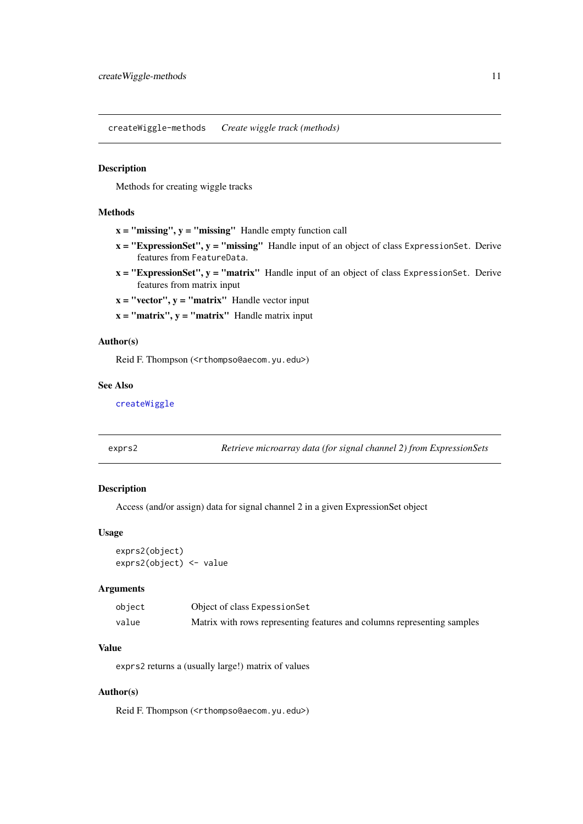<span id="page-10-1"></span><span id="page-10-0"></span>createWiggle-methods *Create wiggle track (methods)*

#### Description

Methods for creating wiggle tracks

### Methods

- $x =$  "missing",  $y =$  "missing" Handle empty function call
- $x = "ExpressionSet", y = "missing"$  Handle input of an object of class ExpressionSet. Derive features from FeatureData.
- $x = "ExpressionSet", y = "matrix"$  Handle input of an object of class ExpressionSet. Derive features from matrix input

 $x = "vector", y = "matrix"$  Handle vector input

 $x = "matrix", y = "matrix"$  Handle matrix input

# Author(s)

Reid F. Thompson (<rthompso@aecom.yu.edu>)

### See Also

[createWiggle](#page-8-1)

<span id="page-10-2"></span>

| Retrieve microarray data (for signal channel 2) from ExpressionSets |
|---------------------------------------------------------------------|
|                                                                     |

# Description

Access (and/or assign) data for signal channel 2 in a given ExpressionSet object

# Usage

exprs2(object) exprs2(object) <- value

#### Arguments

| object | Object of class Expession Set                                           |
|--------|-------------------------------------------------------------------------|
| value  | Matrix with rows representing features and columns representing samples |

### Value

exprs2 returns a (usually large!) matrix of values

# Author(s)

Reid F. Thompson (<rthompso@aecom.yu.edu>)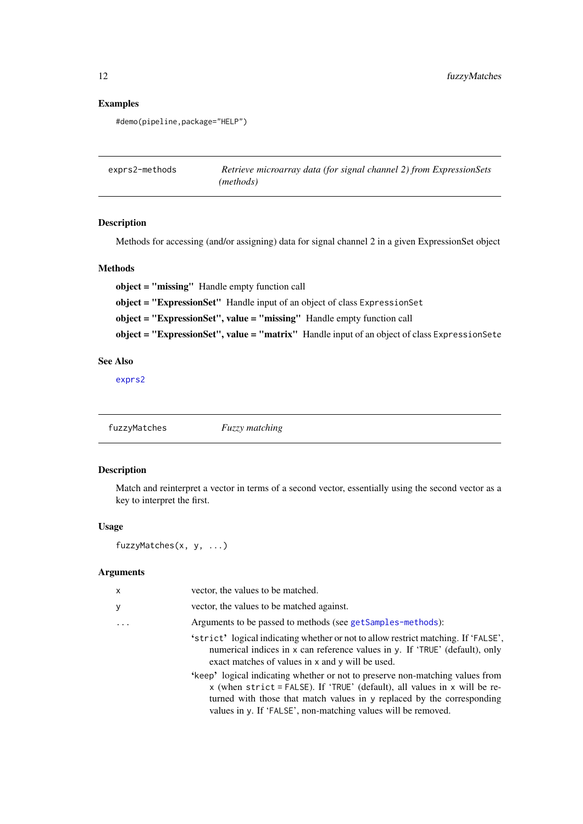# Examples

#demo(pipeline,package="HELP")

| exprs2-methods | Retrieve microarray data (for signal channel 2) from ExpressionSets |
|----------------|---------------------------------------------------------------------|
|                | ( <i>methods</i> )                                                  |

# Description

Methods for accessing (and/or assigning) data for signal channel 2 in a given ExpressionSet object

#### Methods

object = "missing" Handle empty function call object = "ExpressionSet" Handle input of an object of class ExpressionSet object = "ExpressionSet", value = "missing" Handle empty function call object = "ExpressionSet", value = "matrix" Handle input of an object of class ExpressionSete

# See Also

[exprs2](#page-10-2)

<span id="page-11-1"></span>

| fuzzyMatches | <b>Fuzzy</b> matching |
|--------------|-----------------------|
|              |                       |

### Description

Match and reinterpret a vector in terms of a second vector, essentially using the second vector as a key to interpret the first.

#### Usage

fuzzyMatches(x, y, ...)

# Arguments

| X       | vector, the values to be matched.                                                                                                                                                                                                                                                                     |
|---------|-------------------------------------------------------------------------------------------------------------------------------------------------------------------------------------------------------------------------------------------------------------------------------------------------------|
| y       | vector, the values to be matched against.                                                                                                                                                                                                                                                             |
| $\cdot$ | Arguments to be passed to methods (see getSamples-methods):                                                                                                                                                                                                                                           |
|         | 'strict' logical indicating whether or not to allow restrict matching. If 'FALSE',<br>numerical indices in x can reference values in y. If 'TRUE' (default), only<br>exact matches of values in x and y will be used.                                                                                 |
|         | 'keep' logical indicating whether or not to preserve non-matching values from<br>x (when strict = FALSE). If 'TRUE' (default), all values in x will be re-<br>turned with those that match values in y replaced by the corresponding<br>values in y. If 'FALSE', non-matching values will be removed. |
|         |                                                                                                                                                                                                                                                                                                       |

<span id="page-11-0"></span>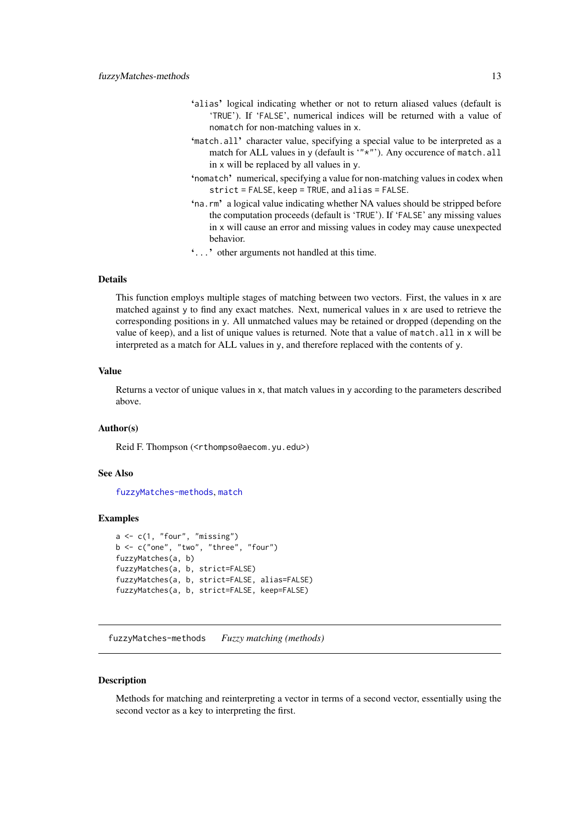- <span id="page-12-0"></span>'alias' logical indicating whether or not to return aliased values (default is 'TRUE'). If 'FALSE', numerical indices will be returned with a value of nomatch for non-matching values in x.
- 'match.all' character value, specifying a special value to be interpreted as a match for ALL values in y (default is '"\*"'). Any occurence of match.all in x will be replaced by all values in y.
- 'nomatch' numerical, specifying a value for non-matching values in codex when strict = FALSE, keep = TRUE, and alias = FALSE.
- 'na.rm' a logical value indicating whether NA values should be stripped before the computation proceeds (default is 'TRUE'). If 'FALSE' any missing values in x will cause an error and missing values in codey may cause unexpected behavior.
- '...' other arguments not handled at this time.

#### Details

This function employs multiple stages of matching between two vectors. First, the values in x are matched against y to find any exact matches. Next, numerical values in x are used to retrieve the corresponding positions in y. All unmatched values may be retained or dropped (depending on the value of keep), and a list of unique values is returned. Note that a value of match.all in x will be interpreted as a match for ALL values in y, and therefore replaced with the contents of y.

# Value

Returns a vector of unique values in x, that match values in y according to the parameters described above.

#### Author(s)

Reid F. Thompson (<rthompso@aecom.yu.edu>)

#### See Also

[fuzzyMatches-methods](#page-12-1), [match](#page-0-0)

#### Examples

```
a \leftarrow c(1, "four", "missing")b \leq c ("one", "two", "three", "four")
fuzzyMatches(a, b)
fuzzyMatches(a, b, strict=FALSE)
fuzzyMatches(a, b, strict=FALSE, alias=FALSE)
fuzzyMatches(a, b, strict=FALSE, keep=FALSE)
```
<span id="page-12-1"></span>fuzzyMatches-methods *Fuzzy matching (methods)*

#### Description

Methods for matching and reinterpreting a vector in terms of a second vector, essentially using the second vector as a key to interpreting the first.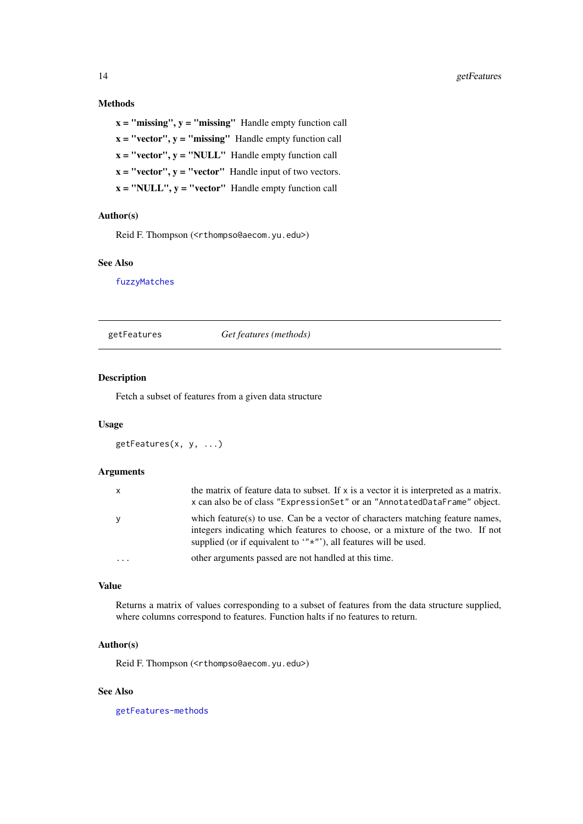#### Methods

 $x =$  "missing",  $y =$  "missing" Handle empty function call  $x = "vector", y = "missing"$  Handle empty function call  $x = "vector", y = "NULL"$  Handle empty function call  $x = "vector", y = "vector"$  Handle input of two vectors.  $x = "NULL", y = "vector"$  Handle empty function call

#### Author(s)

Reid F. Thompson (<rthompso@aecom.yu.edu>)

# See Also

[fuzzyMatches](#page-11-1)

<span id="page-13-1"></span>getFeatures *Get features (methods)*

# Description

Fetch a subset of features from a given data structure

# Usage

```
getFeatures(x, y, ...)
```
#### Arguments

| x          | the matrix of feature data to subset. If $x$ is a vector it is interpreted as a matrix.<br>x can also be of class "Expression Set" or an "Annotated Data Frame" object.                                                                          |
|------------|--------------------------------------------------------------------------------------------------------------------------------------------------------------------------------------------------------------------------------------------------|
| У          | which feature(s) to use. Can be a vector of characters matching feature names,<br>integers indicating which features to choose, or a mixture of the two. If not<br>supplied (or if equivalent to $(x^* \cdot y^*)$ ), all features will be used. |
| $\ddots$ . | other arguments passed are not handled at this time.                                                                                                                                                                                             |

# Value

Returns a matrix of values corresponding to a subset of features from the data structure supplied, where columns correspond to features. Function halts if no features to return.

#### Author(s)

Reid F. Thompson (<rthompso@aecom.yu.edu>)

### See Also

[getFeatures-methods](#page-14-1)

<span id="page-13-0"></span>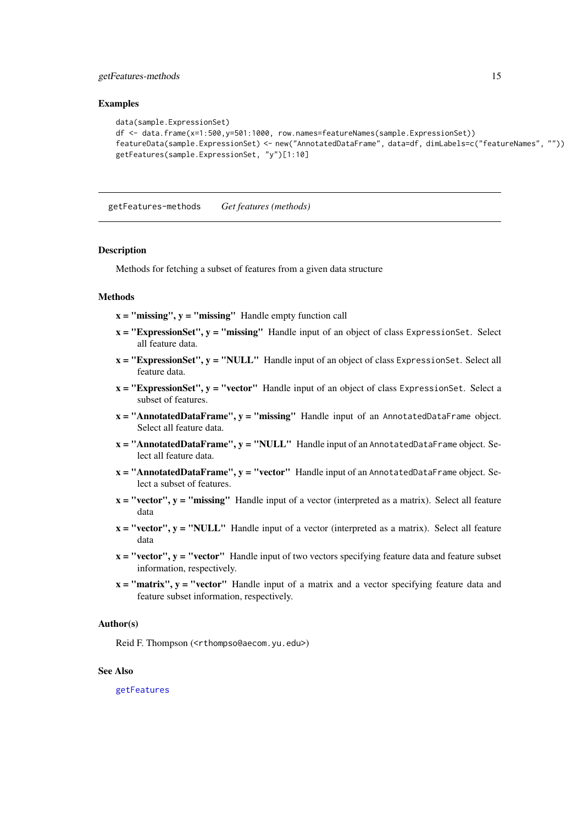#### <span id="page-14-0"></span>getFeatures-methods 15

### Examples

```
data(sample.ExpressionSet)
df <- data.frame(x=1:500,y=501:1000, row.names=featureNames(sample.ExpressionSet))
featureData(sample.ExpressionSet) <- new("AnnotatedDataFrame", data=df, dimLabels=c("featureNames", ""))
getFeatures(sample.ExpressionSet, "y")[1:10]
```
<span id="page-14-1"></span>getFeatures-methods *Get features (methods)*

#### Description

Methods for fetching a subset of features from a given data structure

# Methods

 $x =$  "missing",  $y =$  "missing" Handle empty function call

- $x = "ExpressionSet", y = "missing"$  Handle input of an object of class ExpressionSet. Select all feature data.
- $x = "ExpressionSet", y = "NULL"$  Handle input of an object of class ExpressionSet. Select all feature data.
- $x = "ExpressionSet", y = "vector"$  Handle input of an object of class ExpressionSet. Select a subset of features.
- $x = "AnnotatedDataFrame", y = "missing"$  Handle input of an AnnotatedDataFrame object. Select all feature data.
- $x = "AnnotatedDataFrame", y = "NULL"$  Handle input of an AnnotatedDataFrame object. Select all feature data.
- $x = "AnnotatedDataFrame", y = "vector"$  Handle input of an AnnotatedDataFrame object. Select a subset of features.
- $x = "vector", y = "missing"$  Handle input of a vector (interpreted as a matrix). Select all feature data
- $x = "vector", y = "NULL"$  Handle input of a vector (interpreted as a matrix). Select all feature data
- $x = "vector", y = "vector"$  Handle input of two vectors specifying feature data and feature subset information, respectively.
- $x = "matrix", y = "vector"$  Handle input of a matrix and a vector specifying feature data and feature subset information, respectively.

### Author(s)

Reid F. Thompson (<rthompso@aecom.yu.edu>)

#### See Also

[getFeatures](#page-13-1)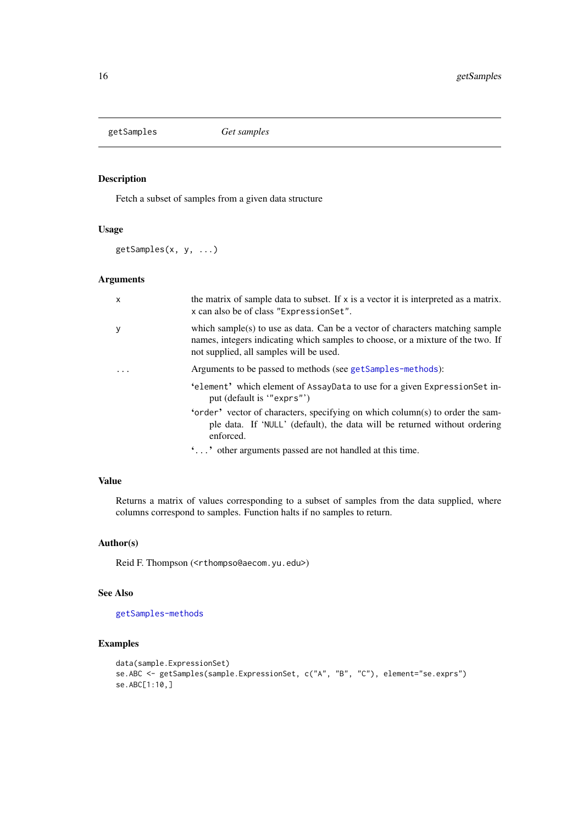<span id="page-15-1"></span><span id="page-15-0"></span>getSamples *Get samples*

# Description

Fetch a subset of samples from a given data structure

# Usage

getSamples(x, y, ...)

# Arguments

| $\mathsf{x}$ | the matrix of sample data to subset. If $x$ is a vector it is interpreted as a matrix.<br>x can also be of class "Expression Set".                                                                          |
|--------------|-------------------------------------------------------------------------------------------------------------------------------------------------------------------------------------------------------------|
| y            | which sample(s) to use as data. Can be a vector of characters matching sample<br>names, integers indicating which samples to choose, or a mixture of the two. If<br>not supplied, all samples will be used. |
|              | Arguments to be passed to methods (see getSamples-methods):                                                                                                                                                 |
|              | 'element' which element of AssayData to use for a given ExpressionSet in-<br>put (default is "exprs")                                                                                                       |
|              | 'order' vector of characters, specifying on which column(s) to order the sam-<br>ple data. If 'NULL' (default), the data will be returned without ordering<br>enforced.                                     |
|              | '' other arguments passed are not handled at this time.                                                                                                                                                     |

# Value

Returns a matrix of values corresponding to a subset of samples from the data supplied, where columns correspond to samples. Function halts if no samples to return.

### Author(s)

Reid F. Thompson (<rthompso@aecom.yu.edu>)

### See Also

[getSamples-methods](#page-16-1)

# Examples

```
data(sample.ExpressionSet)
se.ABC <- getSamples(sample.ExpressionSet, c("A", "B", "C"), element="se.exprs")
se.ABC[1:10,]
```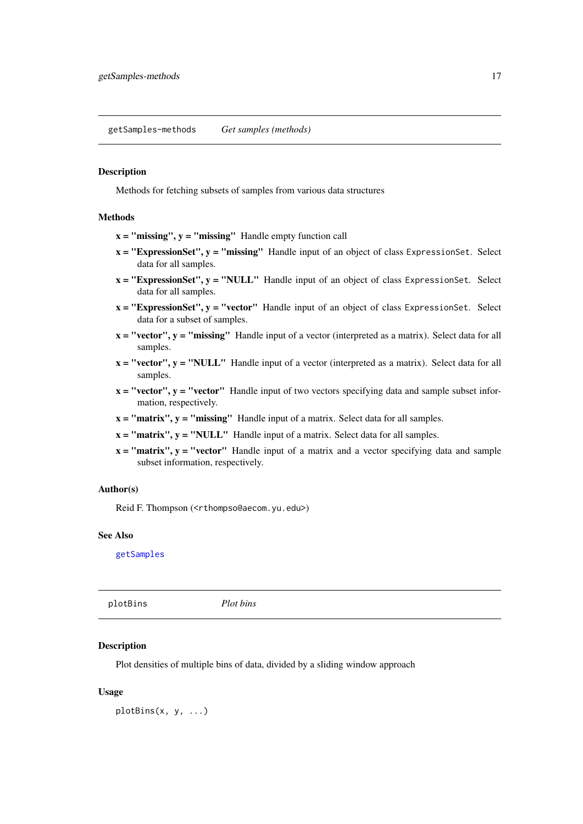<span id="page-16-1"></span><span id="page-16-0"></span>getSamples-methods *Get samples (methods)*

# Description

Methods for fetching subsets of samples from various data structures

#### Methods

- $x =$  "missing",  $y =$  "missing" Handle empty function call
- $x = "ExpressionSet", y = "missing"$  Handle input of an object of class ExpressionSet. Select data for all samples.
- $x = "ExpressionSet", y = "NULL"$  Handle input of an object of class ExpressionSet. Select data for all samples.
- $x = "ExpressionSet", y = "vector"$  Handle input of an object of class ExpressionSet. Select data for a subset of samples.
- $x = "vector", y = "missing"$  Handle input of a vector (interpreted as a matrix). Select data for all samples.
- $x = "vector", y = "NULL"$  Handle input of a vector (interpreted as a matrix). Select data for all samples.
- $x = "vector", y = "vector"$  Handle input of two vectors specifying data and sample subset information, respectively.
- $x = "matrix", y = "missing"$  Handle input of a matrix. Select data for all samples.
- $x = "matrix", y = "NULL"$  Handle input of a matrix. Select data for all samples.
- $x = "matrix", y = "vector"$  Handle input of a matrix and a vector specifying data and sample subset information, respectively.

# Author(s)

Reid F. Thompson (<rthompso@aecom.yu.edu>)

#### See Also

[getSamples](#page-15-1)

<span id="page-16-2"></span>plotBins *Plot bins*

#### Description

Plot densities of multiple bins of data, divided by a sliding window approach

#### Usage

plotBins(x, y, ...)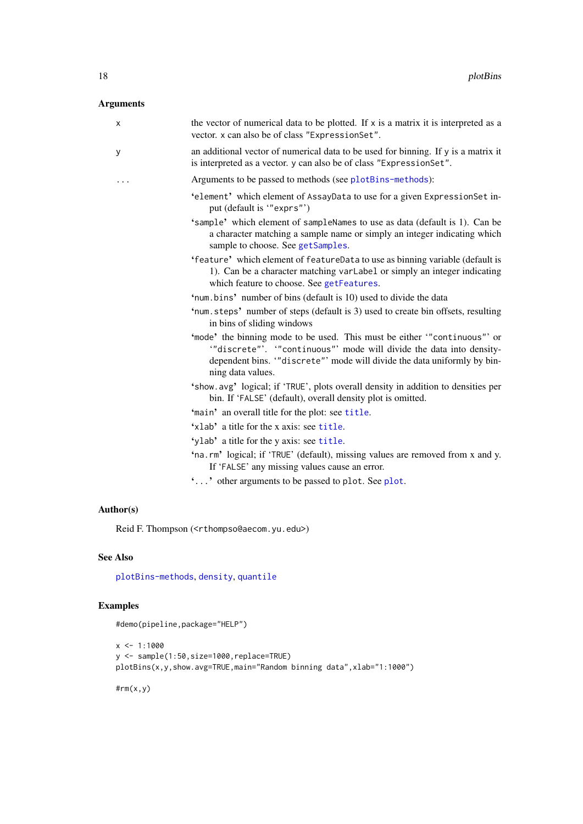# <span id="page-17-0"></span>Arguments

| x | the vector of numerical data to be plotted. If x is a matrix it is interpreted as a<br>vector. x can also be of class "ExpressionSet".                                                                                                        |
|---|-----------------------------------------------------------------------------------------------------------------------------------------------------------------------------------------------------------------------------------------------|
| У | an additional vector of numerical data to be used for binning. If y is a matrix it<br>is interpreted as a vector. y can also be of class "ExpressionSet".                                                                                     |
| . | Arguments to be passed to methods (see plotBins-methods):                                                                                                                                                                                     |
|   | 'element' which element of AssayData to use for a given ExpressionSet in-<br>put (default is "exprs")                                                                                                                                         |
|   | 'sample' which element of sampleNames to use as data (default is 1). Can be<br>a character matching a sample name or simply an integer indicating which<br>sample to choose. See getSamples.                                                  |
|   | 'feature' which element of featureData to use as binning variable (default is<br>1). Can be a character matching varLabel or simply an integer indicating<br>which feature to choose. See getFeatures.                                        |
|   | 'num.bins' number of bins (default is 10) used to divide the data                                                                                                                                                                             |
|   | 'num.steps' number of steps (default is 3) used to create bin offsets, resulting<br>in bins of sliding windows                                                                                                                                |
|   | 'mode' the binning mode to be used. This must be either "continuous"' or<br>"discrete"'. "continuous"' mode will divide the data into density-<br>dependent bins. "discrete" mode will divide the data uniformly by bin-<br>ning data values. |
|   | 'show.avg' logical; if 'TRUE', plots overall density in addition to densities per<br>bin. If 'FALSE' (default), overall density plot is omitted.                                                                                              |
|   | 'main' an overall title for the plot: see title.                                                                                                                                                                                              |
|   | 'xlab' a title for the x axis: see title.                                                                                                                                                                                                     |
|   | 'ylab' a title for the y axis: see title.                                                                                                                                                                                                     |
|   | 'na.rm' logical; if 'TRUE' (default), missing values are removed from x and y.<br>If 'FALSE' any missing values cause an error.                                                                                                               |
|   | " " other arguments to be passed to plot. See plot.                                                                                                                                                                                           |

# Author(s)

Reid F. Thompson (<rthompso@aecom.yu.edu>)

# See Also

[plotBins-methods](#page-18-1), [density](#page-0-0), [quantile](#page-0-0)

# Examples

#demo(pipeline,package="HELP")

```
x < -1:1000y <- sample(1:50,size=1000,replace=TRUE)
plotBins(x,y,show.avg=TRUE,main="Random binning data",xlab="1:1000")
```
#rm(x,y)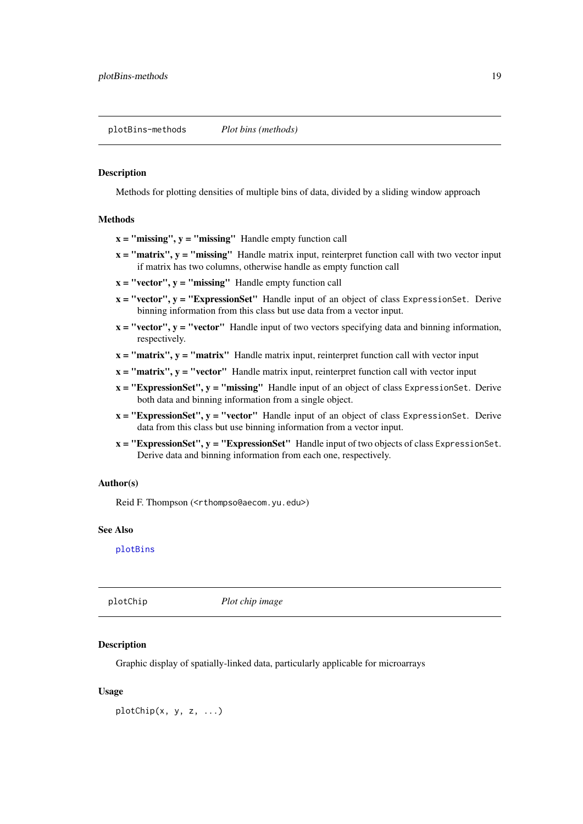<span id="page-18-1"></span><span id="page-18-0"></span>plotBins-methods *Plot bins (methods)*

#### Description

Methods for plotting densities of multiple bins of data, divided by a sliding window approach

### Methods

- $x =$  "missing",  $y =$  "missing" Handle empty function call
- $x = "matrix", y = "missing"$  Handle matrix input, reinterpret function call with two vector input if matrix has two columns, otherwise handle as empty function call
- $x = "vector", y = "missing"$  Handle empty function call
- $x = "vector", y = "ExpressionSet"$  Handle input of an object of class Expression Set. Derive binning information from this class but use data from a vector input.
- $x = "vector", y = "vector"$  Handle input of two vectors specifying data and binning information, respectively.
- $x = "matrix", y = "matrix"$  Handle matrix input, reinterpret function call with vector input
- $x = "matrix", y = "vector"$  Handle matrix input, reinterpret function call with vector input
- $x = "ExpressionSet", y = "missing"$  Handle input of an object of class Expression Set. Derive both data and binning information from a single object.
- $x = "ExpressionSet", y = "vector"$  Handle input of an object of class ExpressionSet. Derive data from this class but use binning information from a vector input.
- $x = "ExpressionSet", y = "ExpressionSet"$  Handle input of two objects of class ExpressionSet. Derive data and binning information from each one, respectively.

#### Author(s)

Reid F. Thompson (<rthompso@aecom.yu.edu>)

### See Also

[plotBins](#page-16-2)

<span id="page-18-2"></span>plotChip *Plot chip image*

#### Description

Graphic display of spatially-linked data, particularly applicable for microarrays

#### Usage

plotChip(x, y, z, ...)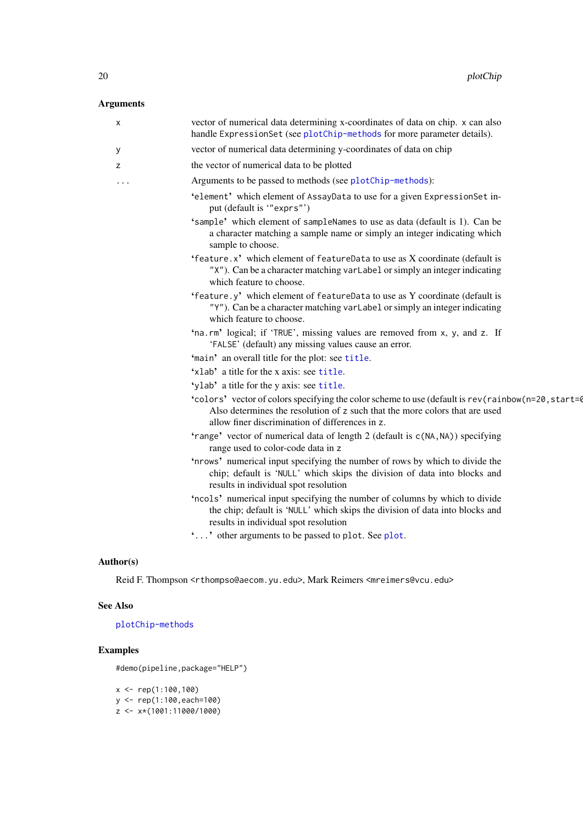# <span id="page-19-0"></span>Arguments

| X | vector of numerical data determining x-coordinates of data on chip. x can also<br>handle ExpressionSet (see plotChip-methods for more parameter details).                                                                             |
|---|---------------------------------------------------------------------------------------------------------------------------------------------------------------------------------------------------------------------------------------|
| У | vector of numerical data determining y-coordinates of data on chip                                                                                                                                                                    |
| z | the vector of numerical data to be plotted                                                                                                                                                                                            |
| . | Arguments to be passed to methods (see plotChip-methods):                                                                                                                                                                             |
|   | 'element' which element of AssayData to use for a given ExpressionSet in-<br>put (default is "exprs")                                                                                                                                 |
|   | 'sample' which element of sampleNames to use as data (default is 1). Can be<br>a character matching a sample name or simply an integer indicating which<br>sample to choose.                                                          |
|   | 'feature.x' which element of featureData to use as X coordinate (default is<br>"X"). Can be a character matching varLabel or simply an integer indicating<br>which feature to choose.                                                 |
|   | 'feature.y' which element of featureData to use as Y coordinate (default is<br>"Y"). Can be a character matching varLabel or simply an integer indicating<br>which feature to choose.                                                 |
|   | 'na.rm' logical; if 'TRUE', missing values are removed from x, y, and z. If<br>'FALSE' (default) any missing values cause an error.                                                                                                   |
|   | 'main' an overall title for the plot: see title.                                                                                                                                                                                      |
|   | 'xlab' a title for the x axis: see title.                                                                                                                                                                                             |
|   | 'ylab' a title for the y axis: see title.                                                                                                                                                                                             |
|   | 'colors' vector of colors specifying the color scheme to use (default is rev(rainbow(n=20, start=0)<br>Also determines the resolution of z such that the more colors that are used<br>allow finer discrimination of differences in z. |
|   | 'range' vector of numerical data of length 2 (default is c(NA, NA)) specifying<br>range used to color-code data in z                                                                                                                  |
|   | 'nrows' numerical input specifying the number of rows by which to divide the<br>chip; default is 'NULL' which skips the division of data into blocks and<br>results in individual spot resolution                                     |
|   | 'ncols' numerical input specifying the number of columns by which to divide<br>the chip; default is 'NULL' which skips the division of data into blocks and<br>results in individual spot resolution                                  |
|   | '' other arguments to be passed to plot. See plot.                                                                                                                                                                                    |
|   |                                                                                                                                                                                                                                       |

# Author(s)

Reid F. Thompson <rthompso@aecom.yu.edu>, Mark Reimers <mreimers@vcu.edu>

# See Also

[plotChip-methods](#page-20-1)

# Examples

#demo(pipeline,package="HELP")

x <- rep(1:100,100) y <- rep(1:100,each=100)  $z \leftarrow x*(1001:11000/1000)$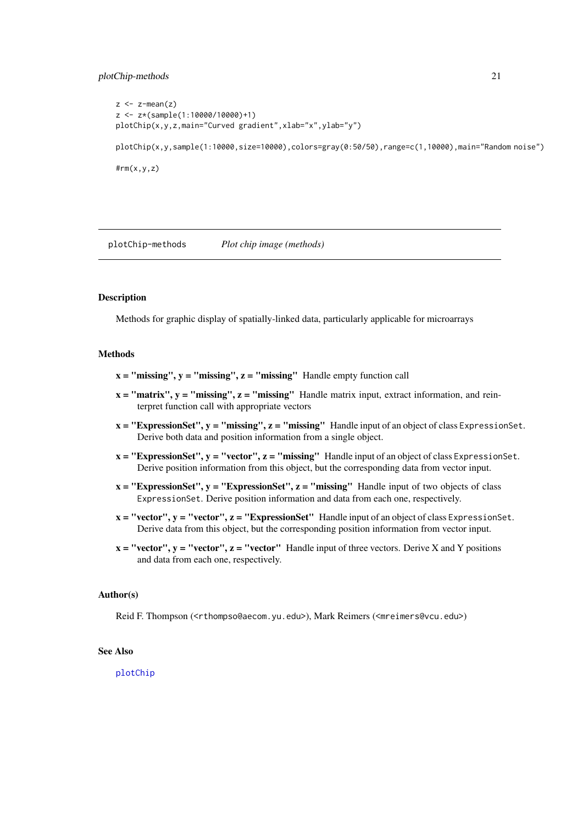#### <span id="page-20-0"></span>plotChip-methods 21

```
z \leq z-mean(z)
z <- z*(sample(1:10000/10000)+1)
plotChip(x,y,z,main="Curved gradient",xlab="x",ylab="y")
plotChip(x,y,sample(1:10000,size=10000),colors=gray(0:50/50),range=c(1,10000),main="Random noise")
#rm(x,y,z)
```
<span id="page-20-1"></span>plotChip-methods *Plot chip image (methods)*

# Description

Methods for graphic display of spatially-linked data, particularly applicable for microarrays

#### **Methods**

- $x =$  "missing",  $y =$  "missing",  $z =$  "missing" Handle empty function call
- $x = "matrix", y = "missing", z = "missing"$  Handle matrix input, extract information, and reinterpret function call with appropriate vectors
- $x = "ExpressionSet", y = "missing", z = "missing"$  Handle input of an object of class Expression Set. Derive both data and position information from a single object.
- $x = "ExpressionSet", y = "vector", z = "missing"$  Handle input of an object of class ExpressionSet. Derive position information from this object, but the corresponding data from vector input.
- $x = "ExpressionSet", y = "ExpressionSet", z = "missing"$  Handle input of two objects of class ExpressionSet. Derive position information and data from each one, respectively.
- $x = "vector", y = "vector", z = "ExpressionSet"$  Handle input of an object of class Expression Set. Derive data from this object, but the corresponding position information from vector input.
- $x = "vector", y = "vector", z = "vector"$  Handle input of three vectors. Derive X and Y positions and data from each one, respectively.

#### Author(s)

Reid F. Thompson (<rthompso@aecom.yu.edu>), Mark Reimers (<mreimers@vcu.edu>)

# See Also

[plotChip](#page-18-2)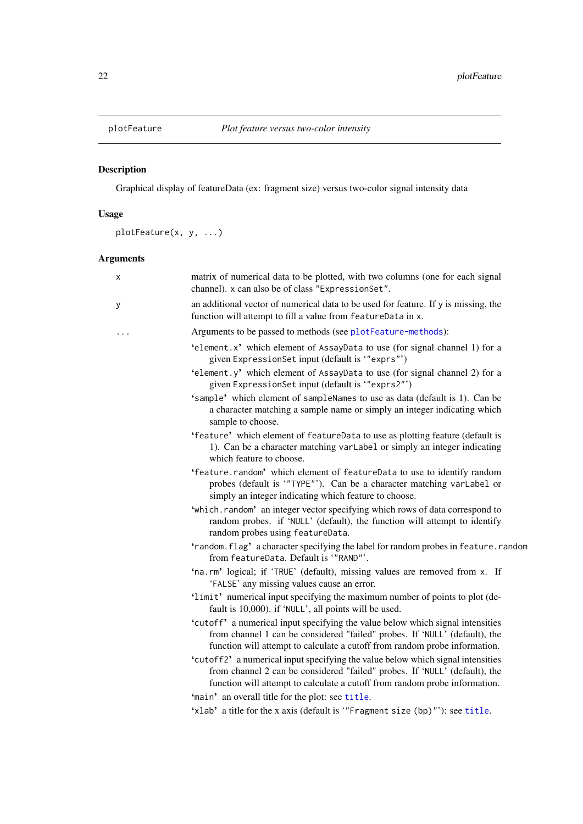<span id="page-21-0"></span>

# Description

Graphical display of featureData (ex: fragment size) versus two-color signal intensity data

# Usage

plotFeature(x, y, ...)

# Arguments

| х | matrix of numerical data to be plotted, with two columns (one for each signal<br>channel). x can also be of class "ExpressionSet".                                                                                                          |
|---|---------------------------------------------------------------------------------------------------------------------------------------------------------------------------------------------------------------------------------------------|
| у | an additional vector of numerical data to be used for feature. If y is missing, the<br>function will attempt to fill a value from featureData in x.                                                                                         |
|   | Arguments to be passed to methods (see plotFeature-methods):                                                                                                                                                                                |
|   | 'element.x' which element of AssayData to use (for signal channel 1) for a<br>given ExpressionSet input (default is "exprs")                                                                                                                |
|   | 'element.y' which element of AssayData to use (for signal channel 2) for a<br>given ExpressionSet input (default is "exprs2")                                                                                                               |
|   | 'sample' which element of sampleNames to use as data (default is 1). Can be<br>a character matching a sample name or simply an integer indicating which<br>sample to choose.                                                                |
|   | 'feature' which element of featureData to use as plotting feature (default is<br>1). Can be a character matching varLabel or simply an integer indicating<br>which feature to choose.                                                       |
|   | 'feature.random' which element of featureData to use to identify random<br>probes (default is '"TYPE"'). Can be a character matching varLabel or<br>simply an integer indicating which feature to choose.                                   |
|   | 'which.random' an integer vector specifying which rows of data correspond to<br>random probes. if 'NULL' (default), the function will attempt to identify<br>random probes using featureData.                                               |
|   | 'random.flag' a character specifying the label for random probes in feature.random<br>from featureData. Default is "RAND"'.                                                                                                                 |
|   | 'na.rm' logical; if 'TRUE' (default), missing values are removed from x. If<br>'FALSE' any missing values cause an error.                                                                                                                   |
|   | 'limit' numerical input specifying the maximum number of points to plot (de-<br>fault is 10,000). if 'NULL', all points will be used.                                                                                                       |
|   | 'cutoff' a numerical input specifying the value below which signal intensities<br>from channel 1 can be considered "failed" probes. If 'NULL' (default), the<br>function will attempt to calculate a cutoff from random probe information.  |
|   | 'cutoff2' a numerical input specifying the value below which signal intensities<br>from channel 2 can be considered "failed" probes. If 'NULL' (default), the<br>function will attempt to calculate a cutoff from random probe information. |
|   | 'main' an overall title for the plot: see title.                                                                                                                                                                                            |
|   | 'xlab' a title for the x axis (default is "Fragment size (bp)"'): see title.                                                                                                                                                                |
|   |                                                                                                                                                                                                                                             |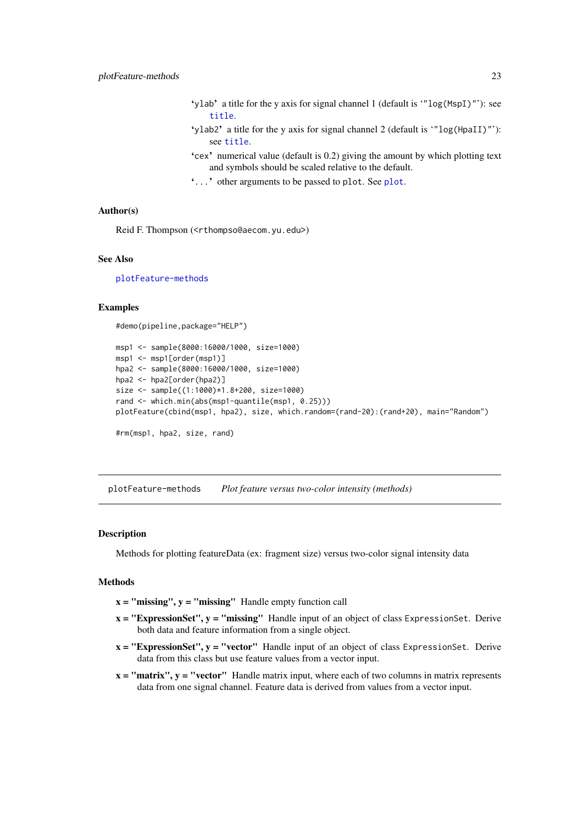- <span id="page-22-0"></span>'ylab' a title for the y axis for signal channel 1 (default is '"log(MspI)"'): see [title](#page-0-0).
- 'ylab2' a title for the y axis for signal channel 2 (default is '"log(HpaII)"'): see [title](#page-0-0).
- 'cex' numerical value (default is 0.2) giving the amount by which plotting text and symbols should be scaled relative to the default.
- '...' other arguments to be passed to plot. See [plot](#page-0-0).

# Author(s)

Reid F. Thompson (<rthompso@aecom.yu.edu>)

#### See Also

[plotFeature-methods](#page-22-1)

#### Examples

#demo(pipeline,package="HELP")

```
msp1 <- sample(8000:16000/1000, size=1000)
msp1 <- msp1[order(msp1)]
hpa2 <- sample(8000:16000/1000, size=1000)
hpa2 <- hpa2[order(hpa2)]
size <- sample((1:1000)*1.8+200, size=1000)
rand <- which.min(abs(msp1-quantile(msp1, 0.25)))
plotFeature(cbind(msp1, hpa2), size, which.random=(rand-20):(rand+20), main="Random")
#rm(msp1, hpa2, size, rand)
```
<span id="page-22-1"></span>plotFeature-methods *Plot feature versus two-color intensity (methods)*

### Description

Methods for plotting featureData (ex: fragment size) versus two-color signal intensity data

# Methods

- $x =$  "missing",  $y =$  "missing" Handle empty function call
- $x = "ExpressionSet", y = "missing"$  Handle input of an object of class Expression Set. Derive both data and feature information from a single object.
- $x = "ExpressionSet", y = "vector"$  Handle input of an object of class ExpressionSet. Derive data from this class but use feature values from a vector input.
- $x = "matrix", y = "vector"$  Handle matrix input, where each of two columns in matrix represents data from one signal channel. Feature data is derived from values from a vector input.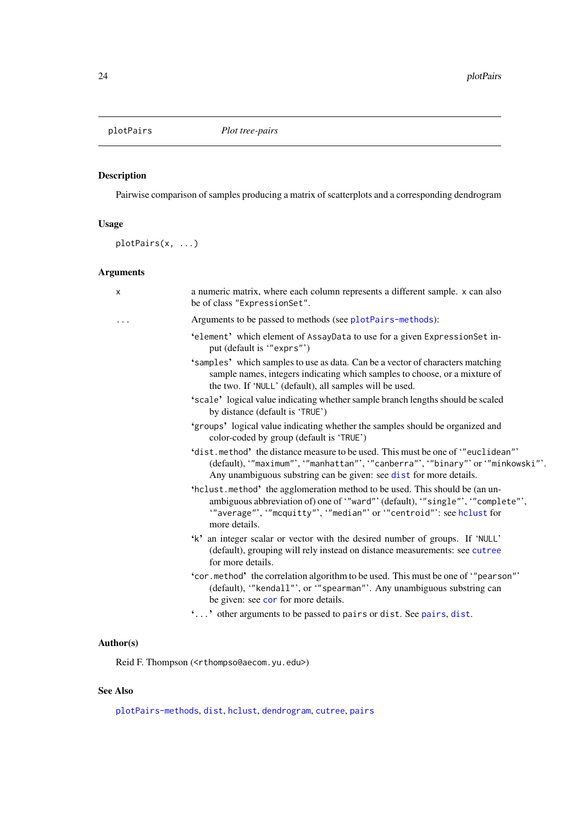<span id="page-23-1"></span><span id="page-23-0"></span>

# Description

Pairwise comparison of samples producing a matrix of scatterplots and a corresponding dendrogram

# Usage

plotPairs(x, ...)

# Arguments

| X | a numeric matrix, where each column represents a different sample. x can also<br>be of class "ExpressionSet".                                                                                                                                 |
|---|-----------------------------------------------------------------------------------------------------------------------------------------------------------------------------------------------------------------------------------------------|
|   | Arguments to be passed to methods (see plotPairs-methods):                                                                                                                                                                                    |
|   | 'element' which element of AssayData to use for a given ExpressionSet in-<br>put (default is "exprs")                                                                                                                                         |
|   | 'samples' which samples to use as data. Can be a vector of characters matching<br>sample names, integers indicating which samples to choose, or a mixture of<br>the two. If 'NULL' (default), all samples will be used.                       |
|   | 'scale' logical value indicating whether sample branch lengths should be scaled<br>by distance (default is 'TRUE')                                                                                                                            |
|   | 'groups' logical value indicating whether the samples should be organized and<br>color-coded by group (default is 'TRUE')                                                                                                                     |
|   | 'dist.method' the distance measure to be used. This must be one of "euclidean"'<br>(default), "maximum", "manhattan"', "canberra"', "binary"' or "minkowski"'.<br>Any unambiguous substring can be given: see dist for more details.          |
|   | 'hclust.method' the agglomeration method to be used. This should be (an un-<br>ambiguous abbreviation of) one of "ward"' (default), "single"', "complete"',<br>"average", "mcquitty", "median" or "centroid": see holust for<br>more details. |
|   | 'k' an integer scalar or vector with the desired number of groups. If 'NULL'<br>(default), grouping will rely instead on distance measurements: see cutree<br>for more details.                                                               |
|   | "cor . method" the correlation algorithm to be used. This must be one of ""pearson""<br>(default), "kendall"', or '"spearman"'. Any unambiguous substring can<br>be given: see cor for more details.                                          |
|   | '' other arguments to be passed to pairs or dist. See pairs, dist.                                                                                                                                                                            |
|   |                                                                                                                                                                                                                                               |
|   |                                                                                                                                                                                                                                               |

# Author(s)

Reid F. Thompson (<rthompso@aecom.yu.edu>)

# See Also

[plotPairs-methods](#page-24-1), [dist](#page-0-0), [hclust](#page-0-0), [dendrogram](#page-0-0), [cutree](#page-0-0), [pairs](#page-0-0)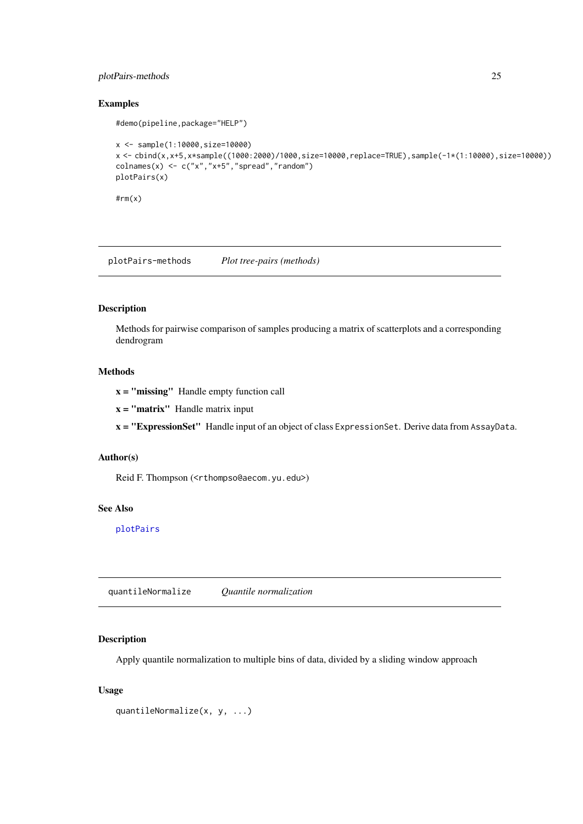#### <span id="page-24-0"></span>plotPairs-methods 25

# Examples

#demo(pipeline,package="HELP")

```
x <- sample(1:10000,size=10000)
x <- cbind(x,x+5,x*sample((1000:2000)/1000,size=10000,replace=TRUE),sample(-1*(1:10000),size=10000))
colnames(x) <- c("x","x+5","spread","random")
plotPairs(x)
```
 $#rm(x)$ 

<span id="page-24-1"></span>plotPairs-methods *Plot tree-pairs (methods)*

# Description

Methods for pairwise comparison of samples producing a matrix of scatterplots and a corresponding dendrogram

# Methods

x = "missing" Handle empty function call

 $x =$ "matrix" Handle matrix input

x = "ExpressionSet" Handle input of an object of class ExpressionSet. Derive data from AssayData.

#### Author(s)

Reid F. Thompson (<rthompso@aecom.yu.edu>)

# See Also

[plotPairs](#page-23-1)

<span id="page-24-2"></span>quantileNormalize *Quantile normalization*

### Description

Apply quantile normalization to multiple bins of data, divided by a sliding window approach

# Usage

```
quantileNormalize(x, y, ...)
```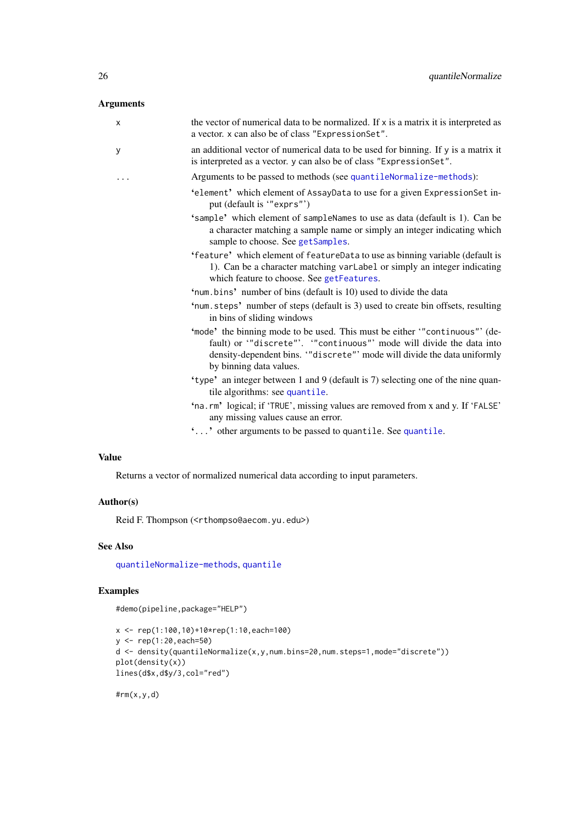# <span id="page-25-0"></span>Arguments

| X        | the vector of numerical data to be normalized. If x is a matrix it is interpreted as<br>a vector. x can also be of class "ExpressionSet".                                                                                                             |
|----------|-------------------------------------------------------------------------------------------------------------------------------------------------------------------------------------------------------------------------------------------------------|
| y        | an additional vector of numerical data to be used for binning. If y is a matrix it<br>is interpreted as a vector. y can also be of class "ExpressionSet".                                                                                             |
| $\cdots$ | Arguments to be passed to methods (see quantileNormalize-methods):                                                                                                                                                                                    |
|          | 'element' which element of AssayData to use for a given ExpressionSet in-<br>put (default is "exprs")                                                                                                                                                 |
|          | 'sample' which element of sampleNames to use as data (default is 1). Can be<br>a character matching a sample name or simply an integer indicating which<br>sample to choose. See getSamples.                                                          |
|          | 'feature' which element of featureData to use as binning variable (default is<br>1). Can be a character matching varLabel or simply an integer indicating<br>which feature to choose. See getFeatures.                                                |
|          | 'num.bins' number of bins (default is 10) used to divide the data                                                                                                                                                                                     |
|          | 'num.steps' number of steps (default is 3) used to create bin offsets, resulting<br>in bins of sliding windows                                                                                                                                        |
|          | 'mode' the binning mode to be used. This must be either "continuous" (de-<br>fault) or "discrete"'. "continuous"' mode will divide the data into<br>density-dependent bins. "discrete" mode will divide the data uniformly<br>by binning data values. |
|          | 'type' an integer between 1 and 9 (default is 7) selecting one of the nine quan-<br>tile algorithms: see quantile.                                                                                                                                    |
|          | 'na.rm' logical; if 'TRUE', missing values are removed from x and y. If 'FALSE'<br>any missing values cause an error.                                                                                                                                 |
|          |                                                                                                                                                                                                                                                       |

'...' other arguments to be passed to quantile. See [quantile](#page-0-0).

# Value

Returns a vector of normalized numerical data according to input parameters.

# Author(s)

Reid F. Thompson (<rthompso@aecom.yu.edu>)

### See Also

[quantileNormalize-methods](#page-26-1), [quantile](#page-0-0)

# Examples

#demo(pipeline,package="HELP")

```
x <- rep(1:100,10)+10*rep(1:10,each=100)
y <- rep(1:20,each=50)
d <- density(quantileNormalize(x,y,num.bins=20,num.steps=1,mode="discrete"))
plot(density(x))
lines(d$x,d$y/3,col="red")
```
 $#rm(x,y,d)$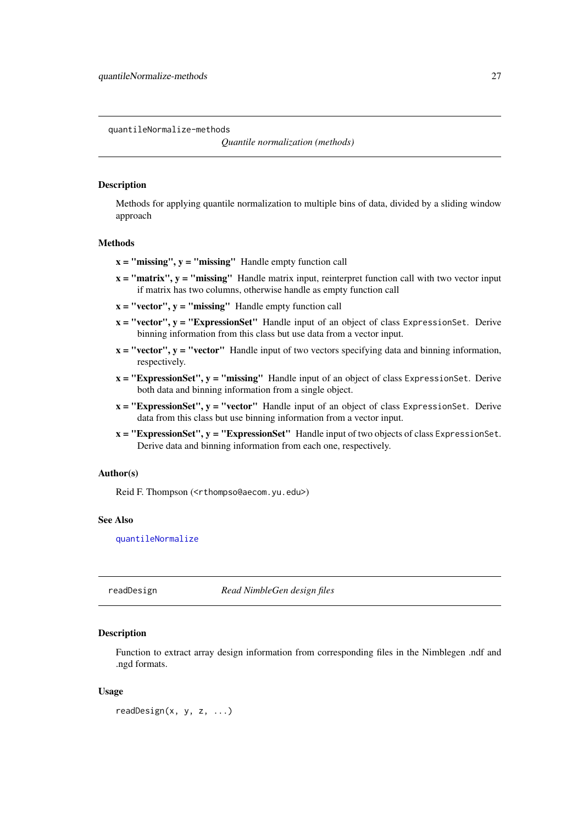<span id="page-26-1"></span><span id="page-26-0"></span>quantileNormalize-methods

#### Description

Methods for applying quantile normalization to multiple bins of data, divided by a sliding window approach

# Methods

- $x =$  "missing",  $y =$  "missing" Handle empty function call
- $x = "matrix", y = "missing"$  Handle matrix input, reinterpret function call with two vector input if matrix has two columns, otherwise handle as empty function call
- $x = "vector", y = "missing"$  Handle empty function call
- $x = "vector", y = "ExpressionSet"$  Handle input of an object of class ExpressionSet. Derive binning information from this class but use data from a vector input.
- $x = "vector", y = "vector"$  Handle input of two vectors specifying data and binning information, respectively.
- $x = "ExpressionSet", y = "missing"$  Handle input of an object of class ExpressionSet. Derive both data and binning information from a single object.
- $x = "ExpressionSet", y = "vector"$  Handle input of an object of class ExpressionSet. Derive data from this class but use binning information from a vector input.
- $x = "ExpressionSet", y = "ExpressionSet"$  Handle input of two objects of class ExpressionSet. Derive data and binning information from each one, respectively.

#### Author(s)

Reid F. Thompson (<rthompso@aecom.yu.edu>)

### See Also

[quantileNormalize](#page-24-2)

<span id="page-26-2"></span>readDesign *Read NimbleGen design files*

#### Description

Function to extract array design information from corresponding files in the Nimblegen .ndf and .ngd formats.

### Usage

readDesign(x, y, z, ...)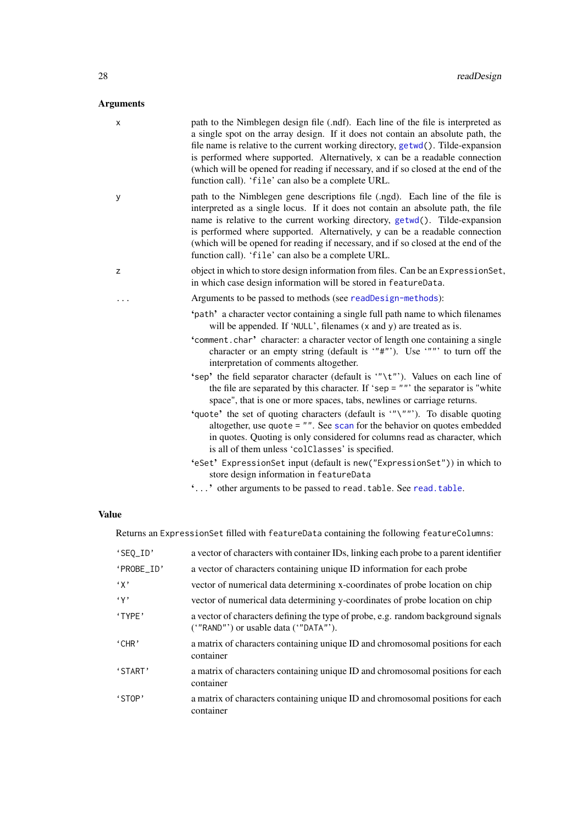# <span id="page-27-0"></span>Arguments

| x | path to the Nimblegen design file (.ndf). Each line of the file is interpreted as<br>a single spot on the array design. If it does not contain an absolute path, the<br>file name is relative to the current working directory, getwd(). Tilde-expansion<br>is performed where supported. Alternatively, x can be a readable connection<br>(which will be opened for reading if necessary, and if so closed at the end of the<br>function call). 'file' can also be a complete URL. |
|---|-------------------------------------------------------------------------------------------------------------------------------------------------------------------------------------------------------------------------------------------------------------------------------------------------------------------------------------------------------------------------------------------------------------------------------------------------------------------------------------|
| у | path to the Nimblegen gene descriptions file (.ngd). Each line of the file is<br>interpreted as a single locus. If it does not contain an absolute path, the file<br>name is relative to the current working directory, getwd(). Tilde-expansion<br>is performed where supported. Alternatively, y can be a readable connection<br>(which will be opened for reading if necessary, and if so closed at the end of the<br>function call). 'file' can also be a complete URL.         |
| z | object in which to store design information from files. Can be an ExpressionSet,<br>in which case design information will be stored in featureData.                                                                                                                                                                                                                                                                                                                                 |
|   | Arguments to be passed to methods (see readDesign-methods):                                                                                                                                                                                                                                                                                                                                                                                                                         |
|   | 'path' a character vector containing a single full path name to which filenames<br>will be appended. If 'NULL', filenames (x and y) are treated as is.                                                                                                                                                                                                                                                                                                                              |
|   | 'comment.char' character: a character vector of length one containing a single<br>character or an empty string (default is "#"). Use """ to turn off the<br>interpretation of comments altogether.                                                                                                                                                                                                                                                                                  |
|   | 'sep' the field separator character (default is "\t"). Values on each line of<br>the file are separated by this character. If 'sep = $""$ the separator is "white<br>space", that is one or more spaces, tabs, newlines or carriage returns.                                                                                                                                                                                                                                        |
|   | 'quote' the set of quoting characters (default is '"\"""). To disable quoting<br>altogether, use quote $=$ "". See scan for the behavior on quotes embedded<br>in quotes. Quoting is only considered for columns read as character, which<br>is all of them unless 'colClasses' is specified.                                                                                                                                                                                       |
|   | 'eSet' ExpressionSet input (default is new ("ExpressionSet")) in which to<br>store design information in featureData                                                                                                                                                                                                                                                                                                                                                                |
|   | '' other arguments to be passed to read.table. See read.table.                                                                                                                                                                                                                                                                                                                                                                                                                      |
|   |                                                                                                                                                                                                                                                                                                                                                                                                                                                                                     |

# Value

Returns an ExpressionSet filled with featureData containing the following featureColumns:

| 'SEQ_ID'              | a vector of characters with container IDs, linking each probe to a parent identifier                                            |
|-----------------------|---------------------------------------------------------------------------------------------------------------------------------|
| 'PROBE_ID'            | a vector of characters containing unique ID information for each probe                                                          |
| $\cdot$ $\chi$ ,      | vector of numerical data determining x-coordinates of probe location on chip                                                    |
| $\left(\gamma\right)$ | vector of numerical data determining y-coordinates of probe location on chip                                                    |
| 'TYPE'                | a vector of characters defining the type of probe, e.g. random background signals<br>$('"RAND'')$ or usable data $('"DATA'')$ . |
| 'CHR'                 | a matrix of characters containing unique ID and chromosomal positions for each<br>container                                     |
| 'START'               | a matrix of characters containing unique ID and chromosomal positions for each<br>container                                     |
| 'STOP'                | a matrix of characters containing unique ID and chromosomal positions for each<br>container                                     |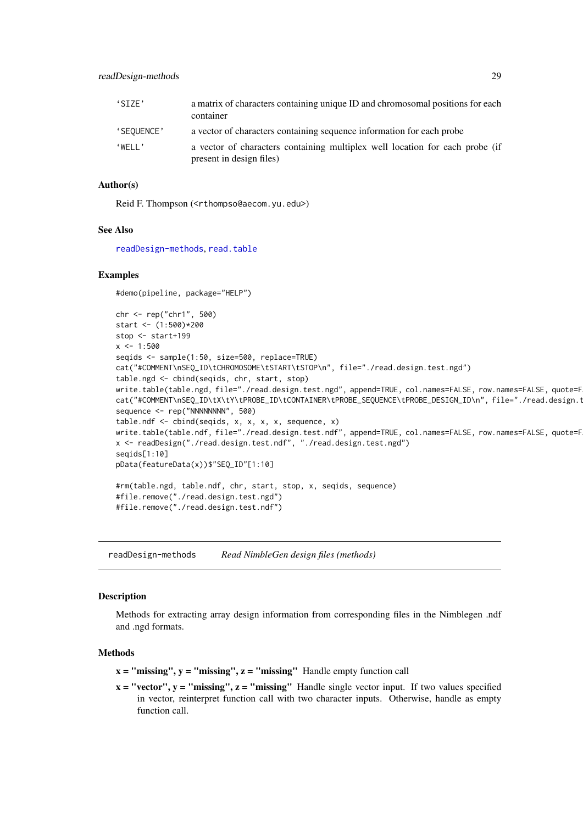<span id="page-28-0"></span>

| 'STZF'              | a matrix of characters containing unique ID and chromosomal positions for each<br>container              |
|---------------------|----------------------------------------------------------------------------------------------------------|
| 'SEQUENCE'          | a vector of characters containing sequence information for each probe                                    |
| $WFI$ $\rightarrow$ | a vector of characters containing multiplex well location for each probe (if<br>present in design files) |

#### Author(s)

Reid F. Thompson (<rthompso@aecom.yu.edu>)

#### See Also

[readDesign-methods](#page-28-1), [read.table](#page-0-0)

# Examples

#demo(pipeline, package="HELP")

```
chr <- rep("chr1", 500)
start <- (1:500)*200
stop <- start+199
x < -1:500seqids <- sample(1:50, size=500, replace=TRUE)
cat("#COMMENT\nSEQ_ID\tCHROMOSOME\tSTART\tSTOP\n", file="./read.design.test.ngd")
table.ngd <- cbind(seqids, chr, start, stop)
write.table(table.ngd, file="./read.design.test.ngd", append=TRUE, col.names=FALSE, row.names=FALSE, quote=F
cat("#COMMENT\nSEQ_ID\tX\tY\tPROBE_ID\tCONTAINER\tPROBE_SEQUENCE\tPROBE_DESIGN_ID\n",file="./read.design.t
sequence <- rep("NNNNNNNN", 500)
table.ndf <- cbind(seqids, x, x, x, x, sequence, x)
write.table(table.ndf, file="./read.design.test.ndf", append=TRUE, col.names=FALSE, row.names=FALSE, quote=F
x <- readDesign("./read.design.test.ndf", "./read.design.test.ngd")
seqids[1:10]
pData(featureData(x))$"SEQ_ID"[1:10]
#rm(table.ngd, table.ndf, chr, start, stop, x, seqids, sequence)
#file.remove("./read.design.test.ngd")
#file.remove("./read.design.test.ndf")
```
<span id="page-28-1"></span>readDesign-methods *Read NimbleGen design files (methods)*

#### Description

Methods for extracting array design information from corresponding files in the Nimblegen .ndf and .ngd formats.

#### Methods

- $x =$  "missing",  $y =$  "missing",  $z =$  "missing" Handle empty function call
- $x = "vector", y = "missing", z = "missing"$  Handle single vector input. If two values specified in vector, reinterpret function call with two character inputs. Otherwise, handle as empty function call.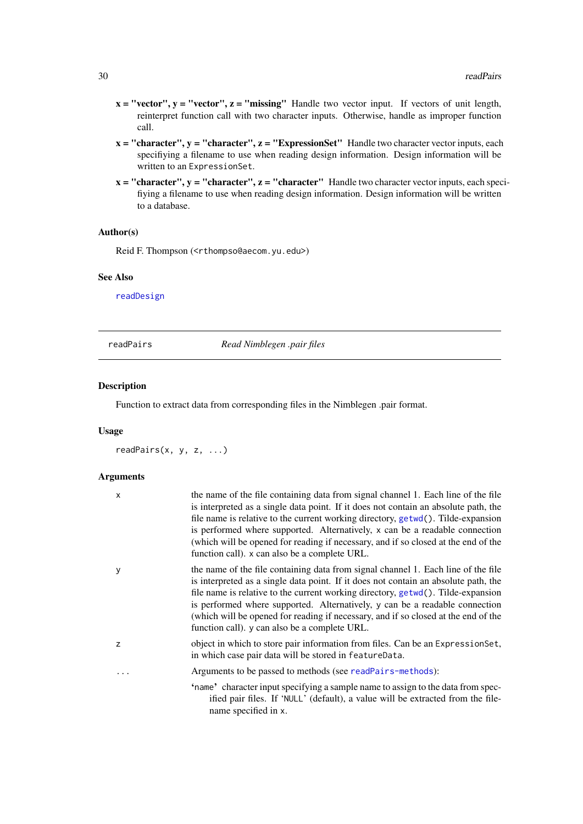- <span id="page-29-0"></span> $x = "vector", y = "vector", z = "missing"$  Handle two vector input. If vectors of unit length, reinterpret function call with two character inputs. Otherwise, handle as improper function call.
- $x =$  "character",  $y =$  "character",  $z =$  "ExpressionSet" Handle two character vector inputs, each specifiying a filename to use when reading design information. Design information will be written to an ExpressionSet.
- $x =$  "character",  $y =$  "character",  $z =$  "character" Handle two character vector inputs, each specifiying a filename to use when reading design information. Design information will be written to a database.

### Author(s)

Reid F. Thompson (<rthompso@aecom.yu.edu>)

#### See Also

[readDesign](#page-26-2)

<span id="page-29-1"></span>readPairs *Read Nimblegen .pair files*

#### Description

Function to extract data from corresponding files in the Nimblegen .pair format.

#### Usage

readPairs(x, y, z, ...)

#### Arguments

| X | the name of the file containing data from signal channel 1. Each line of the file<br>is interpreted as a single data point. If it does not contain an absolute path, the<br>file name is relative to the current working directory, getwd(). Tilde-expansion<br>is performed where supported. Alternatively, x can be a readable connection<br>(which will be opened for reading if necessary, and if so closed at the end of the<br>function call). x can also be a complete URL. |
|---|------------------------------------------------------------------------------------------------------------------------------------------------------------------------------------------------------------------------------------------------------------------------------------------------------------------------------------------------------------------------------------------------------------------------------------------------------------------------------------|
| y | the name of the file containing data from signal channel 1. Each line of the file<br>is interpreted as a single data point. If it does not contain an absolute path, the<br>file name is relative to the current working directory, getwd(). Tilde-expansion<br>is performed where supported. Alternatively, y can be a readable connection<br>(which will be opened for reading if necessary, and if so closed at the end of the<br>function call). y can also be a complete URL. |
| Z | object in which to store pair information from files. Can be an Expression Set,<br>in which case pair data will be stored in featureData.                                                                                                                                                                                                                                                                                                                                          |
| . | Arguments to be passed to methods (see readPairs-methods):                                                                                                                                                                                                                                                                                                                                                                                                                         |
|   | 'name' character input specifying a sample name to assign to the data from spec-<br>ified pair files. If 'NULL' (default), a value will be extracted from the file-<br>name specified in x.                                                                                                                                                                                                                                                                                        |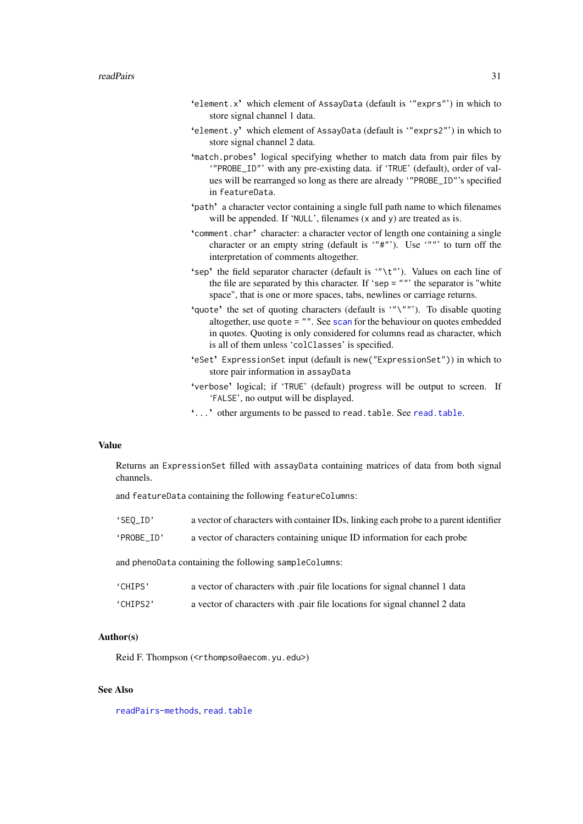- <span id="page-30-0"></span>'element.x' which element of AssayData (default is '"exprs"') in which to store signal channel 1 data.
- 'element.y' which element of AssayData (default is '"exprs2"') in which to store signal channel 2 data.
- 'match.probes' logical specifying whether to match data from pair files by '"PROBE\_ID"' with any pre-existing data. if 'TRUE' (default), order of values will be rearranged so long as there are already '"PROBE\_ID"'s specified in featureData.
- 'path' a character vector containing a single full path name to which filenames will be appended. If 'NULL', filenames (x and y) are treated as is.
- 'comment.char' character: a character vector of length one containing a single character or an empty string (default is '"#"'). Use '""' to turn off the interpretation of comments altogether.
- 'sep' the field separator character (default is '"\t"'). Values on each line of the file are separated by this character. If 'sep = ""' the separator is "white space", that is one or more spaces, tabs, newlines or carriage returns.
- 'quote' the set of quoting characters (default is '"\""'). To disable quoting altogether, use quote = "". See [scan](#page-0-0) for the behaviour on quotes embedded in quotes. Quoting is only considered for columns read as character, which is all of them unless 'colClasses' is specified.
- 'eSet' ExpressionSet input (default is new("ExpressionSet")) in which to store pair information in assayData
- 'verbose' logical; if 'TRUE' (default) progress will be output to screen. If 'FALSE', no output will be displayed.
- '...' other arguments to be passed to read.table. See [read.table](#page-0-0).

### Value

Returns an ExpressionSet filled with assayData containing matrices of data from both signal channels.

and featureData containing the following featureColumns:

- 'SEQ\_ID' a vector of characters with container IDs, linking each probe to a parent identifier
- 'PROBE\_ID' a vector of characters containing unique ID information for each probe

and phenoData containing the following sampleColumns:

| 'CHIPS'  | a vector of characters with pair file locations for signal channel 1 data |
|----------|---------------------------------------------------------------------------|
| 'CHIPS2' | a vector of characters with pair file locations for signal channel 2 data |

#### Author(s)

Reid F. Thompson (<rthompso@aecom.yu.edu>)

# See Also

[readPairs-methods](#page-31-1), [read.table](#page-0-0)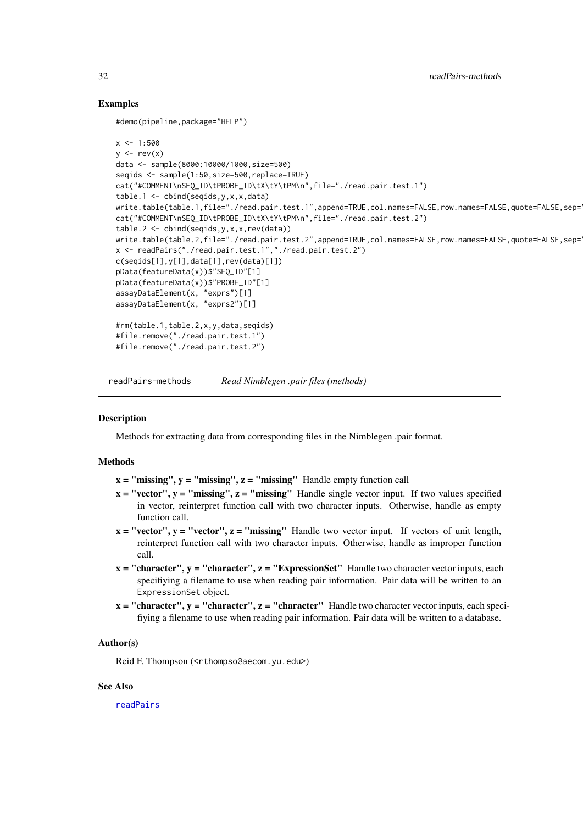### Examples

#demo(pipeline,package="HELP")

```
x < -1:500y \le -\text{rev}(x)data <- sample(8000:10000/1000,size=500)
seqids <- sample(1:50,size=500,replace=TRUE)
cat("#COMMENT\nSEQ_ID\tPROBE_ID\tX\tY\tPM\n",file="./read.pair.test.1")
table.1 <- cbind(seqids,y,x,x,data)
write.table(table.1,file="./read.pair.test.1",append=TRUE,col.names=FALSE,row.names=FALSE,quote=FALSE,sep=
cat("#COMMENT\nSEQ_ID\tPROBE_ID\tX\tY\tPM\n",file="./read.pair.test.2")
table.2 <- cbind(seqids,y,x,x,rev(data))
write.table(table.2,file="./read.pair.test.2",append=TRUE,col.names=FALSE,row.names=FALSE,quote=FALSE,sep=
x <- readPairs("./read.pair.test.1","./read.pair.test.2")
c(seqids[1],y[1],data[1],rev(data)[1])
pData(featureData(x))$"SEQ_ID"[1]
pData(featureData(x))$"PROBE_ID"[1]
assayDataElement(x, "exprs")[1]
assayDataElement(x, "exprs2")[1]
#rm(table.1,table.2,x,y,data,seqids)
#file.remove("./read.pair.test.1")
#file.remove("./read.pair.test.2")
```
<span id="page-31-1"></span>readPairs-methods *Read Nimblegen .pair files (methods)*

### Description

Methods for extracting data from corresponding files in the Nimblegen .pair format.

#### Methods

- $x =$  "missing",  $y =$  "missing",  $z =$  "missing" Handle empty function call
- $x = "vector", y = "missing", z = "missing"$  Handle single vector input. If two values specified in vector, reinterpret function call with two character inputs. Otherwise, handle as empty function call.
- $x = "vector", y = "vector", z = "missing"$  Handle two vector input. If vectors of unit length, reinterpret function call with two character inputs. Otherwise, handle as improper function call.
- $x = "character", y = "character", z = "ExpressionSet"$  Handle two character vector inputs, each specifiying a filename to use when reading pair information. Pair data will be written to an ExpressionSet object.
- $x =$  "character",  $y =$  "character",  $z =$  "character" Handle two character vector inputs, each specifiying a filename to use when reading pair information. Pair data will be written to a database.

#### Author(s)

Reid F. Thompson (<rthompso@aecom.yu.edu>)

### See Also

[readPairs](#page-29-1)

<span id="page-31-0"></span>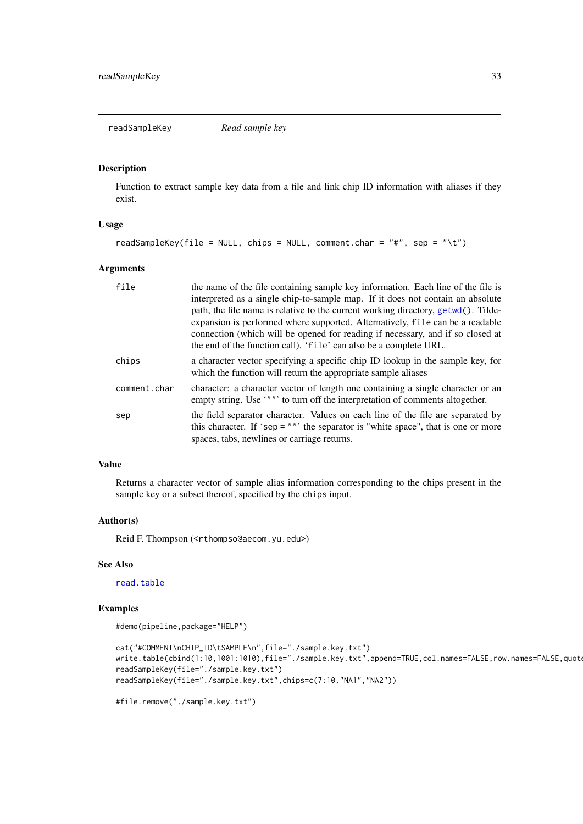<span id="page-32-0"></span>readSampleKey *Read sample key*

#### Description

Function to extract sample key data from a file and link chip ID information with aliases if they exist.

#### Usage

```
readSampleKey(file = NULL, chips = NULL, comment.char = "#", sep = "\t")
```
#### Arguments

| file         | the name of the file containing sample key information. Each line of the file is<br>interpreted as a single chip-to-sample map. If it does not contain an absolute<br>path, the file name is relative to the current working directory, getwd(). Tilde-<br>expansion is performed where supported. Alternatively, file can be a readable<br>connection (which will be opened for reading if necessary, and if so closed at<br>the end of the function call). 'file' can also be a complete URL. |
|--------------|-------------------------------------------------------------------------------------------------------------------------------------------------------------------------------------------------------------------------------------------------------------------------------------------------------------------------------------------------------------------------------------------------------------------------------------------------------------------------------------------------|
| chips        | a character vector specifying a specific chip ID lookup in the sample key, for<br>which the function will return the appropriate sample aliases                                                                                                                                                                                                                                                                                                                                                 |
| comment.char | character: a character vector of length one containing a single character or an<br>empty string. Use """ to turn off the interpretation of comments altogether.                                                                                                                                                                                                                                                                                                                                 |
| sep          | the field separator character. Values on each line of the file are separated by<br>this character. If 'sep = $""$ ' the separator is "white space", that is one or more<br>spaces, tabs, newlines or carriage returns.                                                                                                                                                                                                                                                                          |

#### Value

Returns a character vector of sample alias information corresponding to the chips present in the sample key or a subset thereof, specified by the chips input.

#### Author(s)

Reid F. Thompson (<rthompso@aecom.yu.edu>)

# See Also

[read.table](#page-0-0)

#### Examples

```
#demo(pipeline,package="HELP")
```

```
cat("#COMMENT\nCHIP_ID\tSAMPLE\n",file="./sample.key.txt")
write.table(cbind(1:10,1001:1010),file="./sample.key.txt",append=TRUE,col.names=FALSE,row.names=FALSE,quot
readSampleKey(file="./sample.key.txt")
readSampleKey(file="./sample.key.txt",chips=c(7:10,"NA1","NA2"))
```

```
#file.remove("./sample.key.txt")
```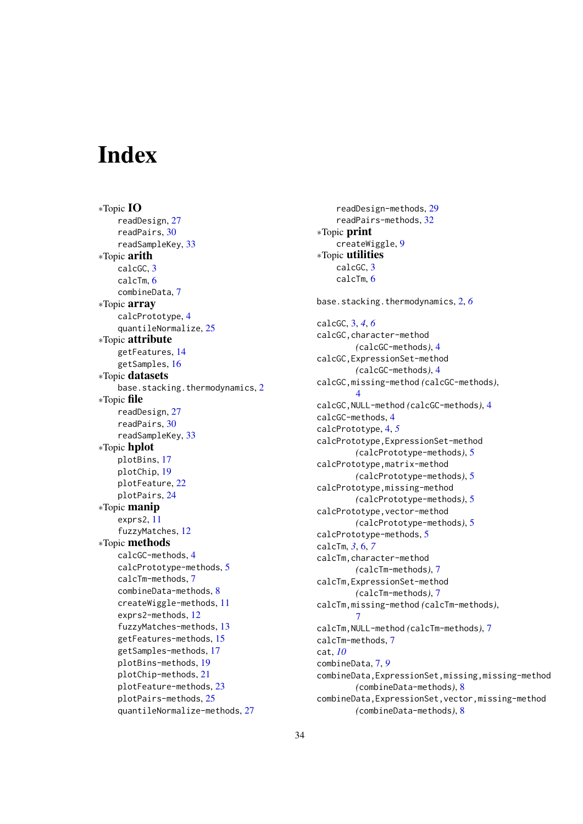# <span id="page-33-0"></span>Index

∗Topic IO readDesign, [27](#page-26-0) readPairs, [30](#page-29-0) readSampleKey, [33](#page-32-0) ∗Topic arith calcGC, [3](#page-2-0) calcTm, [6](#page-5-0) combineData, [7](#page-6-0) ∗Topic array calcPrototype, [4](#page-3-0) quantileNormalize, [25](#page-24-0) ∗Topic attribute getFeatures, [14](#page-13-0) getSamples, [16](#page-15-0) ∗Topic datasets base.stacking.thermodynamics, [2](#page-1-0) ∗Topic file readDesign, [27](#page-26-0) readPairs, [30](#page-29-0) readSampleKey, [33](#page-32-0) ∗Topic hplot plotBins, [17](#page-16-0) plotChip, [19](#page-18-0) plotFeature, [22](#page-21-0) plotPairs, [24](#page-23-0) ∗Topic manip exprs2, [11](#page-10-0) fuzzyMatches, [12](#page-11-0) ∗Topic methods calcGC-methods, [4](#page-3-0) calcPrototype-methods, [5](#page-4-0) calcTm-methods, [7](#page-6-0) combineData-methods, [8](#page-7-0) createWiggle-methods, [11](#page-10-0) exprs2-methods, [12](#page-11-0) fuzzyMatches-methods, [13](#page-12-0) getFeatures-methods, [15](#page-14-0) getSamples-methods, [17](#page-16-0) plotBins-methods, [19](#page-18-0) plotChip-methods, [21](#page-20-0) plotFeature-methods, [23](#page-22-0) plotPairs-methods, [25](#page-24-0) quantileNormalize-methods, [27](#page-26-0)

readDesign-methods, [29](#page-28-0) readPairs-methods, [32](#page-31-0) ∗Topic print createWiggle, [9](#page-8-0) ∗Topic utilities calcGC, [3](#page-2-0) calcTm, [6](#page-5-0) base.stacking.thermodynamics, [2,](#page-1-0) *[6](#page-5-0)* calcGC, [3,](#page-2-0) *[4](#page-3-0)*, *[6](#page-5-0)* calcGC,character-method *(*calcGC-methods*)*, [4](#page-3-0) calcGC,ExpressionSet-method *(*calcGC-methods*)*, [4](#page-3-0) calcGC,missing-method *(*calcGC-methods*)*,  $\Delta$ calcGC,NULL-method *(*calcGC-methods*)*, [4](#page-3-0) calcGC-methods, [4](#page-3-0) calcPrototype, [4,](#page-3-0) *[5](#page-4-0)* calcPrototype,ExpressionSet-method *(*calcPrototype-methods*)*, [5](#page-4-0) calcPrototype,matrix-method *(*calcPrototype-methods*)*, [5](#page-4-0) calcPrototype,missing-method *(*calcPrototype-methods*)*, [5](#page-4-0) calcPrototype,vector-method *(*calcPrototype-methods*)*, [5](#page-4-0) calcPrototype-methods, [5](#page-4-0) calcTm, *[3](#page-2-0)*, [6,](#page-5-0) *[7](#page-6-0)* calcTm,character-method *(*calcTm-methods*)*, [7](#page-6-0) calcTm,ExpressionSet-method *(*calcTm-methods*)*, [7](#page-6-0) calcTm,missing-method *(*calcTm-methods*)*, [7](#page-6-0) calcTm,NULL-method *(*calcTm-methods*)*, [7](#page-6-0) calcTm-methods, [7](#page-6-0) cat, *[10](#page-9-0)* combineData, [7,](#page-6-0) *[9](#page-8-0)* combineData,ExpressionSet,missing,missing-method *(*combineData-methods*)*, [8](#page-7-0) combineData,ExpressionSet,vector,missing-method *(*combineData-methods*)*, [8](#page-7-0)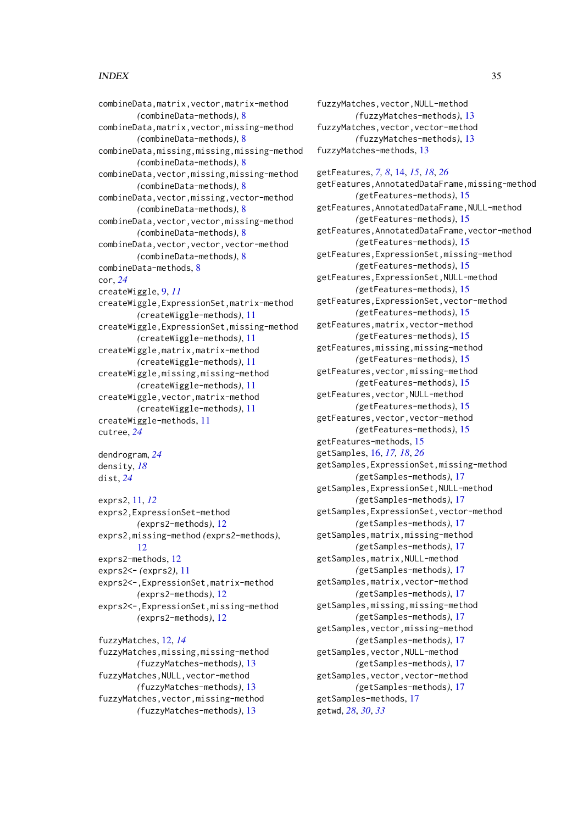#### INDEX 35

```
combineData,matrix,vector,matrix-method
        (combineData-methods), 8
combineData,matrix,vector,missing-method
        (combineData-methods), 8
combineData,missing,missing,missing-method
        (combineData-methods), 8
combineData,vector,missing,missing-method
        (combineData-methods), 8
combineData,vector,missing,vector-method
        (combineData-methods), 8
combineData,vector,vector,missing-method
        (combineData-methods), 8
combineData,vector,vector,vector-method
        (combineData-methods), 8
combineData-methods, 8
cor, 24
createWiggle, 9, 11
createWiggle,ExpressionSet,matrix-method
        (createWiggle-methods), 11
createWiggle,ExpressionSet,missing-method
        (createWiggle-methods), 11
createWiggle,matrix,matrix-method
        (createWiggle-methods), 11
createWiggle,missing,missing-method
        (createWiggle-methods), 11
createWiggle,vector,matrix-method
        (createWiggle-methods), 11
createWiggle-methods, 11
cutree, 24
```
dendrogram, *[24](#page-23-0)* density, *[18](#page-17-0)* dist, *[24](#page-23-0)*

exprs2, [11,](#page-10-0) *[12](#page-11-0)* exprs2,ExpressionSet-method *(*exprs2-methods*)*, [12](#page-11-0) exprs2,missing-method *(*exprs2-methods*)*, [12](#page-11-0) exprs2-methods, [12](#page-11-0) exprs2<- *(*exprs2*)*, [11](#page-10-0) exprs2<-,ExpressionSet,matrix-method *(*exprs2-methods*)*, [12](#page-11-0) exprs2<-,ExpressionSet,missing-method *(*exprs2-methods*)*, [12](#page-11-0)

fuzzyMatches, [12,](#page-11-0) *[14](#page-13-0)* fuzzyMatches,missing,missing-method *(*fuzzyMatches-methods*)*, [13](#page-12-0) fuzzyMatches,NULL,vector-method *(*fuzzyMatches-methods*)*, [13](#page-12-0) fuzzyMatches,vector,missing-method *(*fuzzyMatches-methods*)*, [13](#page-12-0)

fuzzyMatches,vector,NULL-method *(*fuzzyMatches-methods*)*, [13](#page-12-0) fuzzyMatches,vector,vector-method *(*fuzzyMatches-methods*)*, [13](#page-12-0) fuzzyMatches-methods, [13](#page-12-0)

getFeatures, *[7,](#page-6-0) [8](#page-7-0)*, [14,](#page-13-0) *[15](#page-14-0)*, *[18](#page-17-0)*, *[26](#page-25-0)* getFeatures,AnnotatedDataFrame,missing-method *(*getFeatures-methods*)*, [15](#page-14-0) getFeatures,AnnotatedDataFrame,NULL-method *(*getFeatures-methods*)*, [15](#page-14-0) getFeatures,AnnotatedDataFrame,vector-method *(*getFeatures-methods*)*, [15](#page-14-0) getFeatures,ExpressionSet,missing-method *(*getFeatures-methods*)*, [15](#page-14-0) getFeatures,ExpressionSet,NULL-method *(*getFeatures-methods*)*, [15](#page-14-0) getFeatures,ExpressionSet,vector-method *(*getFeatures-methods*)*, [15](#page-14-0) getFeatures,matrix,vector-method *(*getFeatures-methods*)*, [15](#page-14-0) getFeatures,missing,missing-method *(*getFeatures-methods*)*, [15](#page-14-0) getFeatures,vector,missing-method *(*getFeatures-methods*)*, [15](#page-14-0) getFeatures,vector,NULL-method *(*getFeatures-methods*)*, [15](#page-14-0) getFeatures,vector,vector-method *(*getFeatures-methods*)*, [15](#page-14-0) getFeatures-methods, [15](#page-14-0) getSamples, [16,](#page-15-0) *[17,](#page-16-0) [18](#page-17-0)*, *[26](#page-25-0)* getSamples,ExpressionSet,missing-method *(*getSamples-methods*)*, [17](#page-16-0) getSamples,ExpressionSet,NULL-method *(*getSamples-methods*)*, [17](#page-16-0) getSamples,ExpressionSet,vector-method *(*getSamples-methods*)*, [17](#page-16-0) getSamples,matrix,missing-method *(*getSamples-methods*)*, [17](#page-16-0) getSamples,matrix,NULL-method *(*getSamples-methods*)*, [17](#page-16-0) getSamples,matrix,vector-method *(*getSamples-methods*)*, [17](#page-16-0) getSamples,missing,missing-method *(*getSamples-methods*)*, [17](#page-16-0) getSamples,vector,missing-method *(*getSamples-methods*)*, [17](#page-16-0) getSamples,vector,NULL-method *(*getSamples-methods*)*, [17](#page-16-0) getSamples,vector,vector-method *(*getSamples-methods*)*, [17](#page-16-0) getSamples-methods, [17](#page-16-0)

getwd, *[28](#page-27-0)*, *[30](#page-29-0)*, *[33](#page-32-0)*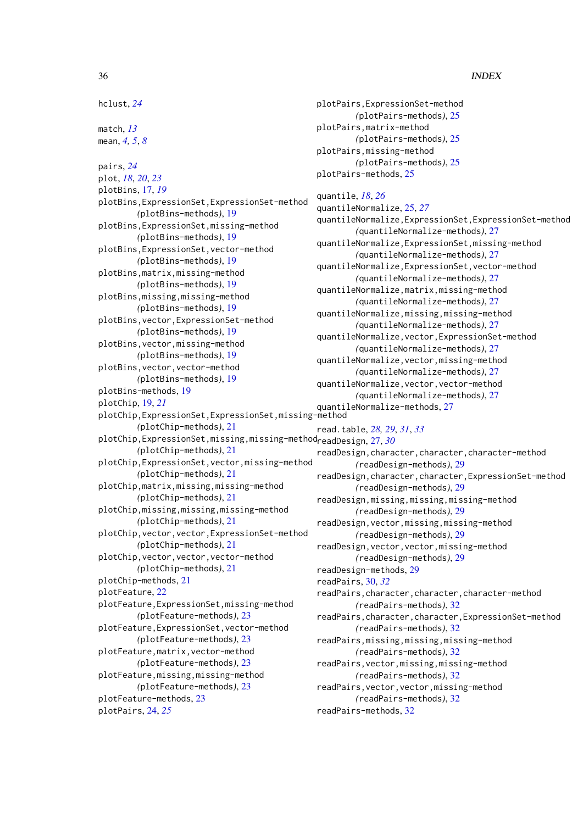#### 36 INDEX

hclust, *[24](#page-23-0)*

match, *[13](#page-12-0)* mean, *[4,](#page-3-0) [5](#page-4-0)*, *[8](#page-7-0)*

pairs, *[24](#page-23-0)* plot, *[18](#page-17-0)*, *[20](#page-19-0)*, *[23](#page-22-0)* plotBins, [17,](#page-16-0) *[19](#page-18-0)* plotBins,ExpressionSet,ExpressionSet-method *(*plotBins-methods*)*, [19](#page-18-0) plotBins,ExpressionSet,missing-method *(*plotBins-methods*)*, [19](#page-18-0) plotBins,ExpressionSet,vector-method *(*plotBins-methods*)*, [19](#page-18-0) plotBins,matrix,missing-method *(*plotBins-methods*)*, [19](#page-18-0) plotBins,missing,missing-method *(*plotBins-methods*)*, [19](#page-18-0) plotBins,vector,ExpressionSet-method *(*plotBins-methods*)*, [19](#page-18-0) plotBins,vector,missing-method *(*plotBins-methods*)*, [19](#page-18-0) plotBins,vector,vector-method *(*plotBins-methods*)*, [19](#page-18-0) plotBins-methods, [19](#page-18-0) plotChip, [19,](#page-18-0) *[21](#page-20-0)* plotChip,ExpressionSet,ExpressionSet,missing-method *(*plotChip-methods*)*, [21](#page-20-0) plotChip,ExpressionSet,missing,missing-method readDesign, [27,](#page-26-0) *[30](#page-29-0) (*plotChip-methods*)*, [21](#page-20-0) plotChip,ExpressionSet,vector,missing-method *(*plotChip-methods*)*, [21](#page-20-0) plotChip,matrix,missing,missing-method *(*plotChip-methods*)*, [21](#page-20-0) plotChip,missing,missing,missing-method *(*plotChip-methods*)*, [21](#page-20-0) plotChip,vector,vector,ExpressionSet-method *(*plotChip-methods*)*, [21](#page-20-0) plotChip,vector,vector,vector-method *(*plotChip-methods*)*, [21](#page-20-0) plotChip-methods, [21](#page-20-0) plotFeature, [22](#page-21-0) plotFeature,ExpressionSet,missing-method *(*plotFeature-methods*)*, [23](#page-22-0) plotFeature,ExpressionSet,vector-method *(*plotFeature-methods*)*, [23](#page-22-0) plotFeature,matrix,vector-method *(*plotFeature-methods*)*, [23](#page-22-0) plotFeature,missing,missing-method *(*plotFeature-methods*)*, [23](#page-22-0) plotFeature-methods, [23](#page-22-0) plotPairs, [24,](#page-23-0) *[25](#page-24-0)*

```
plotPairs,ExpressionSet-method
        (plotPairs-methods), 25
plotPairs,matrix-method
        (plotPairs-methods), 25
plotPairs,missing-method
        (plotPairs-methods), 25
plotPairs-methods, 25
```
# quantile, *[18](#page-17-0)*, *[26](#page-25-0)*

```
quantileNormalize, 25, 27
quantileNormalize,ExpressionSet,ExpressionSet-method
        (quantileNormalize-methods), 27
quantileNormalize,ExpressionSet,missing-method
        (quantileNormalize-methods), 27
quantileNormalize,ExpressionSet,vector-method
        (quantileNormalize-methods), 27
quantileNormalize,matrix,missing-method
        (quantileNormalize-methods), 27
quantileNormalize,missing,missing-method
        (quantileNormalize-methods), 27
quantileNormalize,vector,ExpressionSet-method
        (quantileNormalize-methods), 27
quantileNormalize,vector,missing-method
        (quantileNormalize-methods), 27
quantileNormalize,vector,vector-method
        (quantileNormalize-methods), 27
quantileNormalize-methods, 27
read.table, 28, 29, 31, 33
readDesign,character,character,character-method
        (readDesign-methods), 29
readDesign,character,character,ExpressionSet-method
        (readDesign-methods), 29
readDesign,missing,missing,missing-method
        (readDesign-methods), 29
readDesign,vector,missing,missing-method
        (readDesign-methods), 29
readDesign,vector,vector,missing-method
        (readDesign-methods), 29
readDesign-methods, 29
readPairs, 30, 32
readPairs,character,character,character-method
        (readPairs-methods), 32
readPairs,character,character,ExpressionSet-method
        (readPairs-methods), 32
readPairs,missing,missing,missing-method
        (readPairs-methods), 32
readPairs,vector,missing,missing-method
        (readPairs-methods), 32
readPairs,vector,vector,missing-method
        (readPairs-methods), 32
readPairs-methods, 32
```